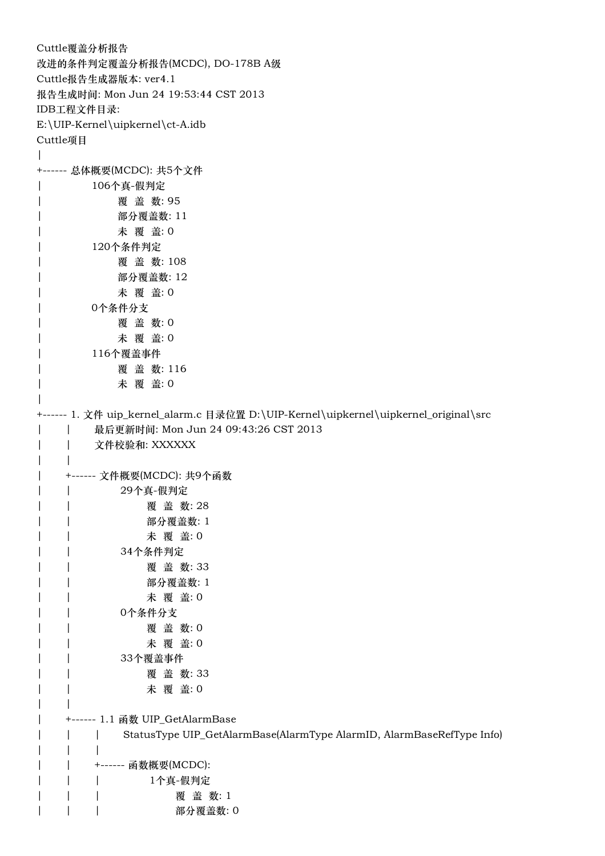Cuttle覆盖分析报告 改进的条件判定覆盖分析报告(MCDC), DO-178B A级 Cuttle报告生成器版本: ver4.1 报告生成时间: Mon Jun 24 19:53:44 CST 2013 IDB工程文件目录: E:\UIP-Kernel\uipkernel\ct-A.idb Cuttle项目  $\overline{\phantom{a}}$ +------ 总体概要(MCDC): 共5个文件 | 106个真-假判定 | 覆 盖 数: 95 | 部分覆盖数: 11 | 未 覆 盖: 0 | 120个条件判定 | 覆 盖 数: 108 | 部分覆盖数: 12 | 未 覆 盖: 0 | 0个条件分支 | 覆 盖 数: 0 | 未 覆 盖: 0 | 116个覆盖事件 | 覆 盖 数: 116 | 未 覆 盖: 0 | +------ 1. 文件 uip\_kernel\_alarm.c 目录位置 D:\UIP-Kernel\uipkernel\uipkernel\_original\src | | 最后更新时间: Mon Jun 24 09:43:26 CST 2013 | | 文件校验和: XXXXXX  $| \cdot |$ | +------ 文件概要(MCDC): 共9个函数 | | 29个真-假判定 | | 覆 盖 数: 28 | | 部分覆盖数: 1 | | 大覆盖:0 | | 34个条件判定 | | 覆 盖 数: 33 | | 部分覆盖数: 1 | | 未 覆 盖: 0 | | 0个条件分支 | | 覆 盖 数: 0 | | 未 覆 盖: 0 | | 33个覆盖事件 | | 覆 盖 数: 33 | | 未 覆 盖: 0  $\vert$ | +------ 1.1 函数 UIP GetAlarmBase | | | StatusType UIP\_GetAlarmBase(AlarmType AlarmID, AlarmBaseRefType Info) | | | | | +------ 函数概要(MCDC): | | | 1个真-假判定 | | | | 覆 盖 数: 1 | | | | 部分覆盖数: 0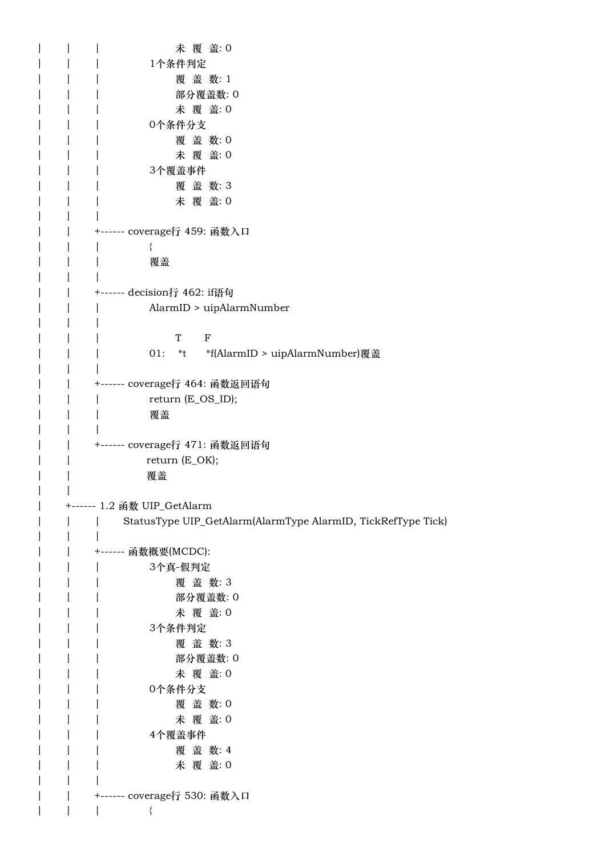| 未 覆 盖: 0                                                     |
|--------------------------------------------------------------|
| 1个条件判定                                                       |
| 覆盖数:1                                                        |
| 部分覆盖数: 0                                                     |
| 未 覆 盖: 0                                                     |
| 0个条件分支                                                       |
| 覆盖数:0                                                        |
| 未 覆 盖: 0                                                     |
| 3个覆盖事件                                                       |
| 覆盖数:3                                                        |
| 未 覆 盖: 0                                                     |
|                                                              |
| +------ coverage行 459: 函数入口                                  |
|                                                              |
| 覆盖                                                           |
|                                                              |
| +------ decision行 462: if语句                                  |
| AlarmID > uipAlarmNumber                                     |
|                                                              |
| $\mathbf{F}$<br>T <sup>1</sup>                               |
| 01:                                                          |
|                                                              |
| +------ coverage行 464: 函数返回语句                                |
| return (E_OS_ID);                                            |
| 覆盖                                                           |
|                                                              |
| +------ coverage行 471: 函数返回语句                                |
| return (E_OK);                                               |
| 覆盖                                                           |
|                                                              |
| +------ 1.2 函数 UIP_GetAlarm                                  |
| StatusType UIP_GetAlarm(AlarmType AlarmID, TickRefType Tick) |
|                                                              |
| +------ 函数概要(MCDC):                                          |
| 3个真-假判定                                                      |
| 覆盖数:3                                                        |
| 部分覆盖数:0                                                      |
| 未 覆 盖: 0                                                     |
| 3个条件判定                                                       |
| 覆盖数:3                                                        |
| 部分覆盖数:0                                                      |
| 未 覆 盖: 0                                                     |
| 0个条件分支                                                       |
| 覆盖数:0                                                        |
| 未 覆 盖: 0                                                     |
| 4个覆盖事件                                                       |
| 覆盖数: 4                                                       |
| 未 覆 盖: 0                                                     |
|                                                              |
| +------ coverage行 530: 函数入口                                  |
| $\{$                                                         |
|                                                              |

| |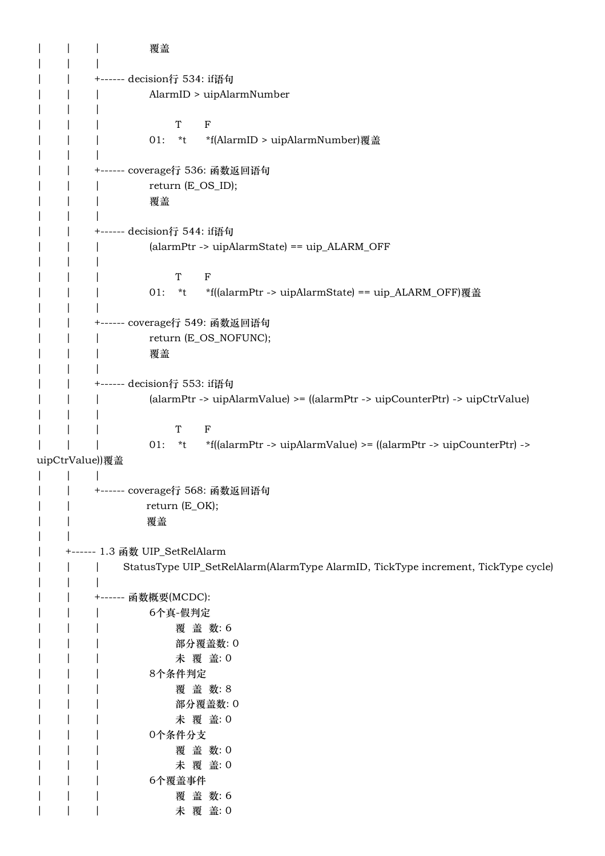| | | 覆盖 | | | | | +------ decision行 534: if语句 | | | AlarmID > uipAlarmNumber | | | | | | T F | | 01: \*t \*f(AlarmID > uipAlarmNumber)覆盖 | | | | | +------ coverage行 536: 函数返回语句 | | return (E\_OS\_ID); | | | 覆盖 | | | | | +------ decision行 544: if语句 | | | (alarmPtr -> uipAlarmState) == uip\_ALARM\_OFF  $| \cdot |$ | | | T F | | | 01: \*t \*f((alarmPtr -> uipAlarmState) == uip\_ALARM\_OFF)覆盖 | | | | | +------ coverage行 549: 函数返回语句 | | return (E\_OS\_NOFUNC); | | | 覆盖  $| \cdot |$ | | +------ decision行 553: if语句 | | | (alarmPtr -> uipAlarmValue) >= ((alarmPtr -> uipCounterPtr) -> uipCtrValue)  $| \cdot |$   $| \cdot |$ | | | T F | | | 01: \*t \*f((alarmPtr -> uipAlarmValue) >= ((alarmPtr -> uipCounterPtr) -> uipCtrValue))覆盖 | | | | | +------ coverage行 568: 函数返回语句 | | return (E\_OK); | | 覆盖 | | | +------ 1.3 函数 UIP\_SetRelAlarm | | | StatusType UIP\_SetRelAlarm(AlarmType AlarmID, TickType increment, TickType cycle) | | | | | +------ 函数概要(MCDC): | | | 6个真-假判定 | | | 覆 盖 数: 6 | | | 部分覆盖数: 0 | | | 未 覆 盖: 0 | | | 8个条件判定 | | | 覆 盖 数: 8 | | | 部分覆盖数: 0 | | | | 未 覆 盖: 0 | | | 0个条件分支 | | | 覆 盖 数: 0 | | | 本覆 盖: 0 | | | 6个覆盖事件 | | | | 覆 盖 数: 6 | | | 本覆 盖: 0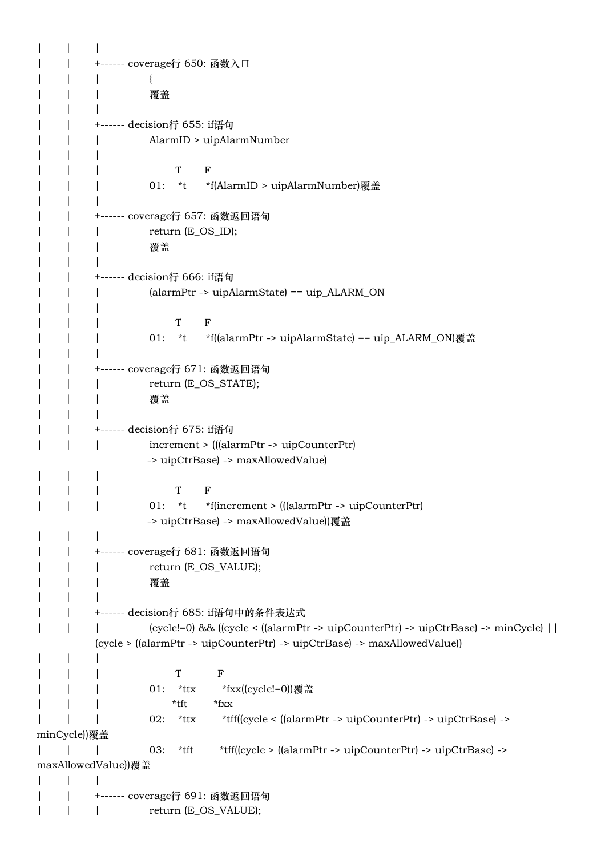| | | | | +------ coverage行 650: 函数入口 | | | { | | | 覆盖 | | | | | +------ decision行 655: if语句 | | | AlarmID > uipAlarmNumber | | | | | | T F | | 01: \*t \*f(AlarmID > uipAlarmNumber)覆盖 | | | | | +------ coverage行 657: 函数返回语句 | | | return (E\_OS\_ID); | | | 覆盖 | | | | | +------ decision行 666: if语句 | | | (alarmPtr -> uipAlarmState) == uip\_ALARM\_ON | | | | | | T F | | | 01: \*t \*f((alarmPtr -> uipAlarmState) == uip\_ALARM\_ON)覆盖 | | | | | +------ coverage行 671: 函数返回语句 | | return (E\_OS\_STATE); | | | 覆盖 | | | | | +------ decision行 675: if语句 | | | increment > (((alarmPtr -> uipCounterPtr) -> uipCtrBase) -> maxAllowedValue) | | | | | | T F | | | 01: \*t \*f(increment > (((alarmPtr -> uipCounterPtr) -> uipCtrBase) -> maxAllowedValue))覆盖 | | | | | +------ coverage行 681: 函数返回语句 | | | return (E\_OS\_VALUE); | | | 覆盖 | | | | | +------ decision行 685: if语句中的条件表达式 | | | (cycle!=0) && ((cycle < ((alarmPtr -> uipCounterPtr) -> uipCtrBase) -> minCycle) || (cycle > ((alarmPtr -> uipCounterPtr) -> uipCtrBase) -> maxAllowedValue)) | | | | | | T F | | 01: \*ttx \*fxx((cycle!=0))覆盖 | | | \*tft \*fxx | | | 02: \*ttx \*tff((cycle < ((alarmPtr -> uipCounterPtr) -> uipCtrBase) -> minCycle))覆盖 | | | 03: \*tft \*tff((cycle > ((alarmPtr -> uipCounterPtr) -> uipCtrBase) -> maxAllowedValue))覆盖 | | | | | +------ coverage行 691: 函数返回语句 | | | return (E\_OS\_VALUE);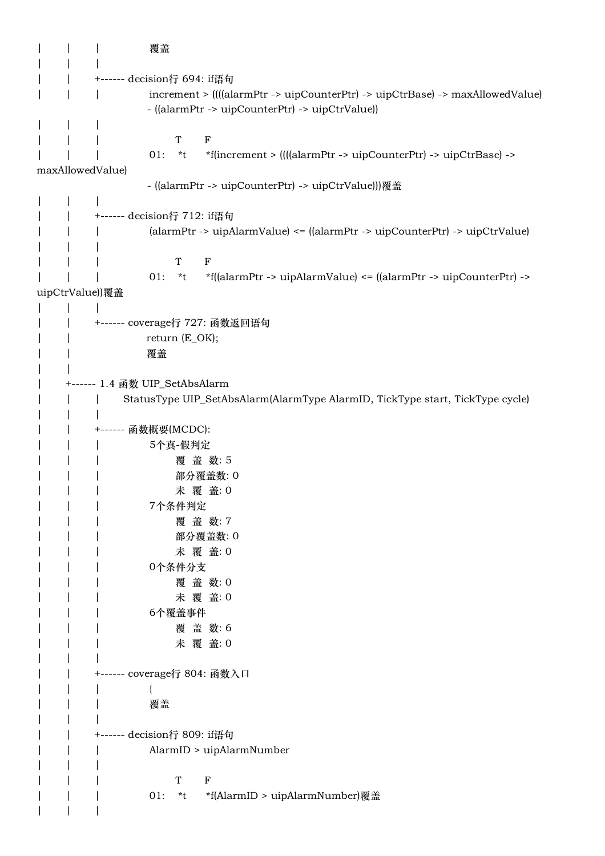| | | 覆盖 | | | | | +------ decision行 694: if语句 | | | increment > ((((alarmPtr -> uipCounterPtr) -> uipCtrBase) -> maxAllowedValue) - ((alarmPtr -> uipCounterPtr) -> uipCtrValue)) | | | | | | T F | | | 01: \*t \*f(increment > ((((alarmPtr -> uipCounterPtr) -> uipCtrBase) -> maxAllowedValue) - ((alarmPtr -> uipCounterPtr) -> uipCtrValue)))覆盖 | | | | | +------ decision行 712: if语句 | | | (alarmPtr -> uipAlarmValue) <= ((alarmPtr -> uipCounterPtr) -> uipCtrValue) | | | | | | T F | | | 01: \*t \*f((alarmPtr -> uipAlarmValue) <= ((alarmPtr -> uipCounterPtr) -> uipCtrValue))覆盖 | | | | | +------ coverage行 727: 函数返回语句 | | return (E\_OK); | | 覆盖  $\| \cdot \|$ | +------ 1.4 函数 UIP\_SetAbsAlarm | | | StatusType UIP\_SetAbsAlarm(AlarmType AlarmID, TickType start, TickType cycle)  $| \cdot |$ | | +------ 函数概要(MCDC): | | | 5个真-假判定 | | | 覆 盖 数: 5 | | | 部分覆盖数: 0 | | 本覆 盖: 0 | | | 7个条件判定 | | | 覆 盖 数: 7 | | | 部分覆盖数: 0 | | | 未 覆 盖: 0 | | | 0个条件分支 | | | 覆 盖 数:0 | | | 未 覆 盖: 0 | | | 6个覆盖事件 | | | 覆盖数:6 | | | 未 覆 盖: 0 | | | | | +------ coverage行 804: 函数入口 | | | { | | | 覆盖 | | | | | +------ decision行 809: if语句 | | | AlarmID > uipAlarmNumber | | | | | | T F | | | 01: \*t \*f(AlarmID > uipAlarmNumber)覆盖 | | |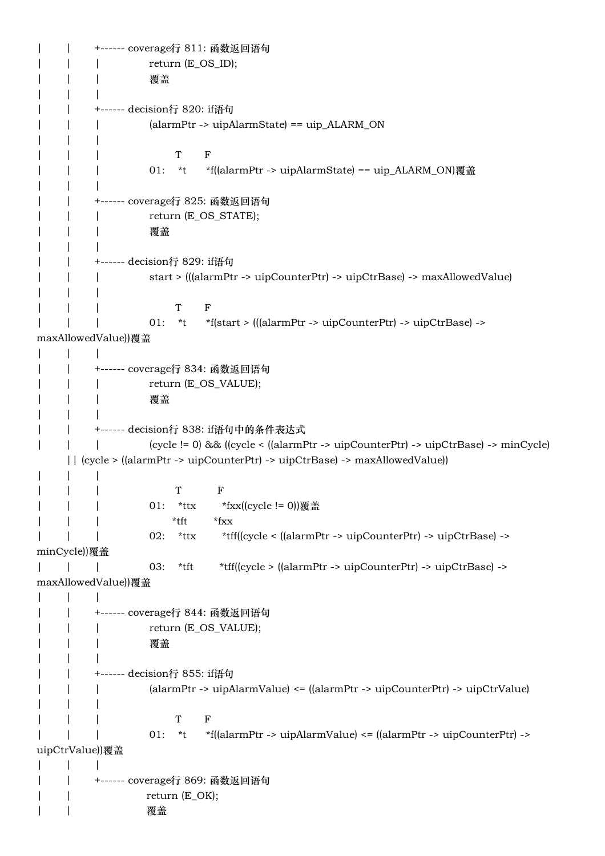| | +------ coverage行 811: 函数返回语句 | | | return (E\_OS\_ID); | | | 覆盖 | | | | | +------ decision行 820: if语句 | | | (alarmPtr -> uipAlarmState) == uip\_ALARM\_ON | | | | | | T F | | | 01: \*t \*f((alarmPtr -> uipAlarmState) == uip\_ALARM\_ON)覆盖 | | | | | +------ coverage行 825: 函数返回语句 | | return (E\_OS\_STATE); | | | 覆盖 | | | | | +------ decision行 829: if语句 | | | start > (((alarmPtr -> uipCounterPtr) -> uipCtrBase) -> maxAllowedValue) | | | | | | T F | | | 01: \*t \*f(start > (((alarmPtr -> uipCounterPtr) -> uipCtrBase) -> maxAllowedValue))覆盖 | | | | | +------ coverage行 834: 函数返回语句 | | return (E\_OS\_VALUE); | | | 覆盖 | | | | | +------ decision行 838: if语句中的条件表达式 | | | (cycle != 0) && ((cycle < ((alarmPtr -> uipCounterPtr) -> uipCtrBase) -> minCycle) || (cycle > ((alarmPtr -> uipCounterPtr) -> uipCtrBase) -> maxAllowedValue)) | | | | | | T F | | | 01: \*ttx \*fxx((cycle != 0))覆盖  $^*$ tft \*fxx | | | 02: \*ttx \*tff((cycle < ((alarmPtr -> uipCounterPtr) -> uipCtrBase) -> minCycle))覆盖 | | | 03: \*tft \*tff((cycle > ((alarmPtr -> uipCounterPtr) -> uipCtrBase) -> maxAllowedValue))覆盖 | | | | | +------ coverage行 844: 函数返回语句 | | return (E\_OS\_VALUE); | | | 覆盖 | | | | | +------ decision行 855: if语句 | | | (alarmPtr -> uipAlarmValue) <= ((alarmPtr -> uipCounterPtr) -> uipCtrValue) | | | | | | T F | | | 01: \*t \*f((alarmPtr -> uipAlarmValue) <= ((alarmPtr -> uipCounterPtr) -> uipCtrValue))覆盖  $| \cdot |$   $| \cdot |$ | | +------ coverage行 869: 函数返回语句 | | return (E\_OK); | | 覆盖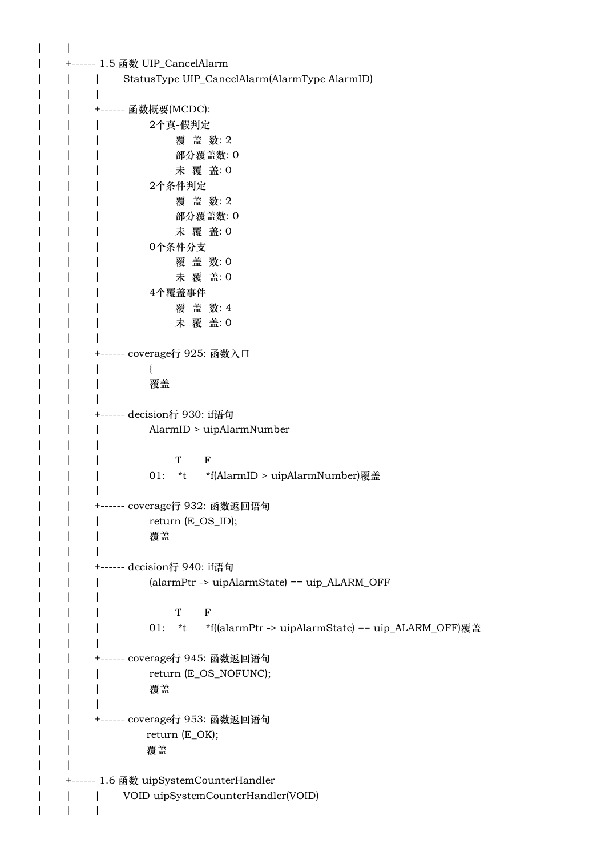$| \qquad |$ | +------ 1.5 函数 UIP\_CancelAlarm | | | StatusType UIP\_CancelAlarm(AlarmType AlarmID) | | | | | +------ 函数概要(MCDC): | | | 2个真-假判定 | | | 覆 盖 数: 2 | | | 部分覆盖数: 0 | | | 未 覆 盖: 0 | | | 2个条件判定 | | | 覆 盖 数: 2 | | | 部分覆盖数: 0 | | | 未 覆 盖: 0 | | | 0个条件分支 | | | 覆 盖 数: 0 | | | 未 覆 盖: 0 | | | 4个覆盖事件 | | | 覆盖数:4 | | | 未 覆 盖: 0 | | | | | +------ coverage行 925: 函数入口 | | | { | | | 覆盖 | | | | | +------ decision行 930: if语句 | | | AlarmID > uipAlarmNumber | | | | | | T F | | | 01: \*t \*f(AlarmID > uipAlarmNumber)覆盖 | | | | | +------ coverage行 932: 函数返回语句 | | return (E\_OS\_ID); | | | 覆盖  $| \cdot |$ | | +------ decision行 940: if语句 | | | (alarmPtr -> uipAlarmState) == uip\_ALARM\_OFF | | | | | | T F | | | 01: \*t \*f((alarmPtr -> uipAlarmState) == uip\_ALARM\_OFF)覆盖 | | | | | +------ coverage行 945: 函数返回语句 | | return (E\_OS\_NOFUNC); | | | 覆盖 | | | | | +------ coverage行 953: 函数返回语句 | | return (E\_OK); | | 覆盖  $\| \cdot \|$ | +------ 1.6 函数 uipSystemCounterHandler | | | VOID uipSystemCounterHandler(VOID) | | |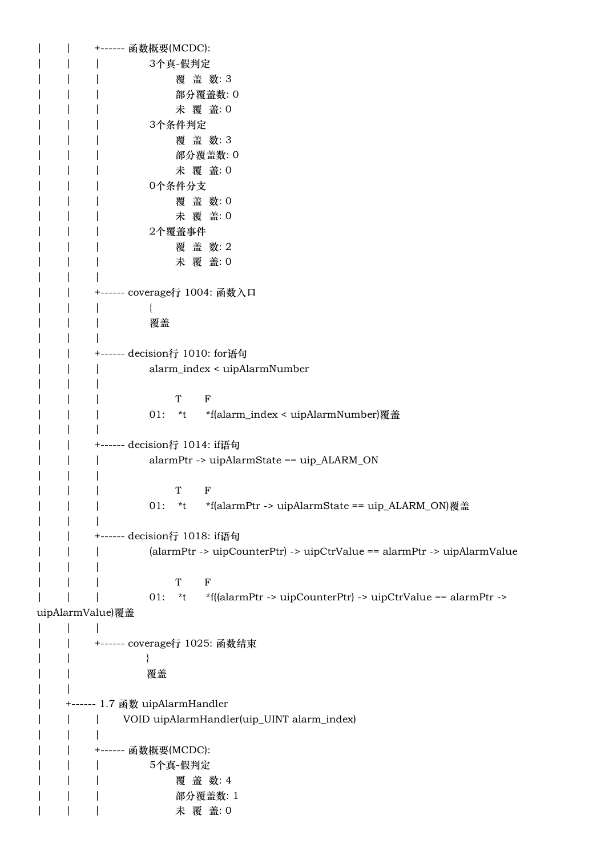|                  | +------ 函数概要(MCDC):                                                            |
|------------------|--------------------------------------------------------------------------------|
|                  | 3个真-假判定                                                                        |
|                  | 覆盖数:3                                                                          |
|                  | 部分覆盖数:0                                                                        |
|                  | 未 覆 盖: 0                                                                       |
|                  | 3个条件判定                                                                         |
|                  | 覆盖数:3                                                                          |
|                  | 部分覆盖数: 0                                                                       |
|                  | 未 覆 盖: 0                                                                       |
|                  | 0个条件分支                                                                         |
|                  | 覆盖数:0                                                                          |
|                  | 未 覆 盖: 0                                                                       |
|                  | 2个覆盖事件                                                                         |
|                  | 覆盖数:2                                                                          |
|                  | 未 覆 盖: 0                                                                       |
|                  |                                                                                |
|                  |                                                                                |
|                  | +------ coverage行 1004: 函数入口                                                   |
|                  |                                                                                |
|                  | 覆盖                                                                             |
|                  |                                                                                |
|                  | +------ decision行 1010: for语句                                                  |
|                  | alarm_index < uipAlarmNumber                                                   |
|                  |                                                                                |
|                  | T<br>F                                                                         |
|                  | *f(alarm_index < uipAlarmNumber)覆盖<br>$01:$ *t                                 |
|                  |                                                                                |
|                  | +------ decision行 1014: if语句                                                   |
|                  | alarmPtr -> uipAlarmState == uip_ALARM_ON                                      |
|                  |                                                                                |
|                  | T<br>$\mathbf F$                                                               |
|                  | 01:<br>*f(alarmPtr -> uipAlarmState == uip_ALARM_ON)覆盖<br>$*$ t                |
|                  |                                                                                |
|                  | +------ decision行 1018: if语句                                                   |
|                  | (alarmPtr -> uipCounterPtr) -> uipCtrValue == alarmPtr -> uipAlarmValue        |
|                  |                                                                                |
|                  | $\mathbf T$<br>$\mathbf F$                                                     |
|                  | *f((alarmPtr -> uipCounterPtr) -> uipCtrValue == alarmPtr -><br>01:<br>$*_{t}$ |
| uipAlarmValue)覆盖 |                                                                                |
|                  |                                                                                |
|                  | +------ coverage行 1025: 函数结束                                                   |
|                  |                                                                                |
|                  | 覆盖                                                                             |
|                  |                                                                                |
|                  | +------ 1.7 函数 uipAlarmHandler                                                 |
|                  |                                                                                |
|                  | VOID uipAlarmHandler(uip_UINT alarm_index)                                     |
|                  |                                                                                |
|                  | +------ 函数概要(MCDC):                                                            |
|                  | 5个真-假判定                                                                        |
|                  | 覆盖数: 4                                                                         |
|                  | 部分覆盖数: 1                                                                       |
|                  | 未 覆 盖: 0                                                                       |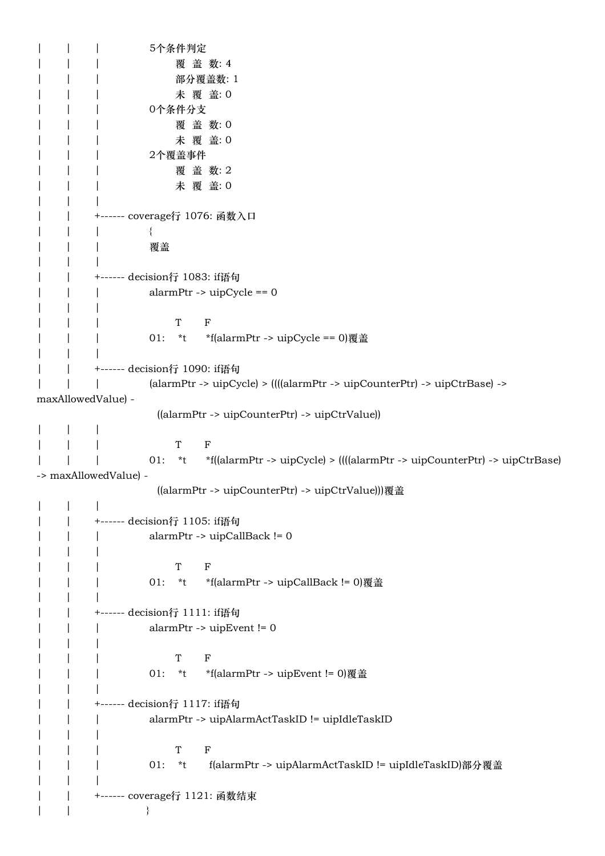| | | 5个条件判定 | | | 本覆 盖 数: 4 | | | 部分覆盖数: 1 | | | 未 覆 盖: 0 | | | 0个条件分支 | | | 覆 盖 数: 0 | | | 未 覆 盖: 0 | | | 2个覆盖事件 | | | 覆 盖 数: 2 | | | 未 覆 盖: 0 | | | | | +------ coverage行 1076: 函数入口 | | | { | | | 覆盖 | | | | | +------ decision行 1083: if语句 | | | alarmPtr -> uipCycle == 0 | | | | | | T F | | 01: \*t \*f(alarmPtr -> uipCycle == 0)覆盖 | | | | | +------ decision行 1090: if语句 | | | (alarmPtr -> uipCycle) > ((((alarmPtr -> uipCounterPtr) -> uipCtrBase) -> maxAllowedValue) - ((alarmPtr -> uipCounterPtr) -> uipCtrValue)) | | | | | | T F | | | 01: \*t \*f((alarmPtr -> uipCycle) > ((((alarmPtr -> uipCounterPtr) -> uipCtrBase) -> maxAllowedValue) - ((alarmPtr -> uipCounterPtr) -> uipCtrValue)))覆盖 | | | | | +------ decision行 1105: if语句 | | | alarmPtr -> uipCallBack != 0 | | | | | | T F | | | 01: \*t \*f(alarmPtr -> uipCallBack != 0)覆盖  $| \cdot |$ | | +------ decision行 1111: if语句 | | | alarmPtr -> uipEvent != 0  $| \cdot |$ | | | T F | | 01: \*t \*f(alarmPtr -> uipEvent != 0)覆盖 | | | | | +------ decision行 1117: if语句 | | | alarmPtr -> uipAlarmActTaskID != uipIdleTaskID  $| \cdot |$ | | | T F | | | 01: \*t f(alarmPtr -> uipAlarmActTaskID != uipIdleTaskID)部分覆盖 | | | | | +------ coverage行 1121: 函数结束  $| \qquad | \qquad \qquad \}$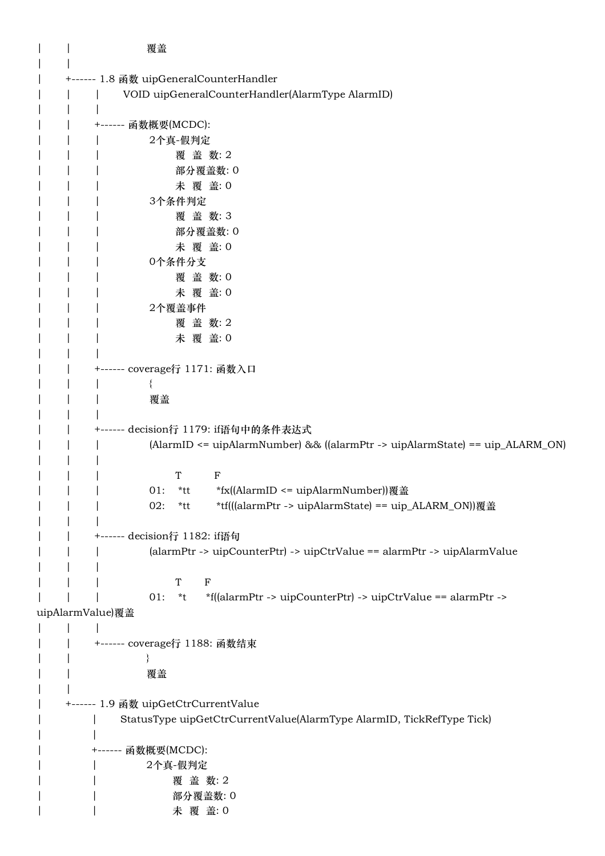| | 覆盖  $| \cdot |$ | +------ 1.8 函数 uipGeneralCounterHandler | | | VOID uipGeneralCounterHandler(AlarmType AlarmID) | | | | | +------ 函数概要(MCDC): | | | 2个真-假判定 | | | 覆 盖 数: 2 | | | 部分覆盖数: 0 | | | 未 覆 盖: 0 | | | 3个条件判定 | | | 覆 盖 数: 3 | | | 部分覆盖数: 0 | | | 未 覆 盖: 0 | | | 0个条件分支 | | | 覆 盖 数:0 | | | 未 覆 盖: 0 | | | 2个覆盖事件 | | | 覆盖数:2 | | | 未 覆 盖: 0 | | | | | +------ coverage行 1171: 函数入口 | | | { | | | 覆盖  $\| \cdot \|$ | | +------ decision行 1179: if语句中的条件表达式 | | | (AlarmID <= uipAlarmNumber) && ((alarmPtr -> uipAlarmState) == uip\_ALARM\_ON)  $| \cdot |$ | | | T F | | 01: \*tt \*fx((AlarmID <= uipAlarmNumber))覆盖 | | | 02: \*tt \*tf(((alarmPtr -> uipAlarmState) == uip\_ALARM\_ON))覆盖 | | | | | +------ decision行 1182: if语句 | | | (alarmPtr -> uipCounterPtr) -> uipCtrValue == alarmPtr -> uipAlarmValue | | | | | | T F | | | 01: \*t \*f((alarmPtr -> uipCounterPtr) -> uipCtrValue == alarmPtr -> uipAlarmValue)覆盖  $| \cdot |$   $| \cdot |$ | | +------ coverage行 1188: 函数结束  $| \qquad | \qquad \qquad \}$ | | 覆盖  $| \cdot |$ | +------ 1.9 函数 uipGetCtrCurrentValue | | StatusType uipGetCtrCurrentValue(AlarmType AlarmID, TickRefType Tick) | | | +------ 函数概要(MCDC): | | 2个真-假判定 | | | | 覆 盖 数: 2 | | | 部分覆盖数: 0 | | 大覆 盖: 0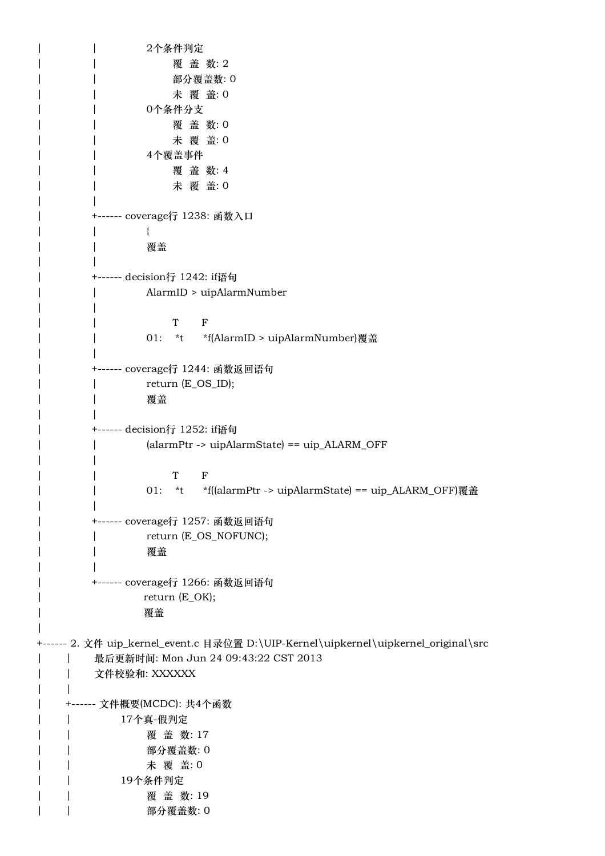| | 2个条件判定 | | | | 覆 盖 数: 2 | | | 部分覆盖数: 0 | | 未 覆 盖: 0 | | 0个条件分支 | | 覆 盖 数: 0 | | 未 覆 盖: 0 | | 4个覆盖事件 | | 覆 盖 数: 4 | | 未 覆 盖: 0 | | | +------ coverage行 1238: 函数入口 | | { | | 覆盖  $\vert$ | +------ decision行 1242: if语句 | | AlarmID > uipAlarmNumber  $\vert$ | | T F | | 01: \*t \*f(AlarmID > uipAlarmNumber)覆盖 | | | +------ coverage行 1244: 函数返回语句 | | return (E\_OS\_ID); | | 覆盖 | | | +------ decision行 1252: if语句 | | (alarmPtr -> uipAlarmState) == uip\_ALARM\_OFF  $\|$ | | T F | | 01: \*t \*f((alarmPtr -> uipAlarmState) == uip\_ALARM\_OFF)覆盖 | | | +------ coverage行 1257: 函数返回语句 | return (E\_OS\_NOFUNC); | | 覆盖 | | | +------ coverage行 1266: 函数返回语句 | return (E\_OK); | 覆盖 | +------ 2. 文件 uip\_kernel\_event.c 目录位置 D:\UIP-Kernel\uipkernel\uipkernel\_original\src | | 最后更新时间: Mon Jun 24 09:43:22 CST 2013 | | 文件校验和: XXXXXX  $| \cdot |$ | +------ 文件概要(MCDC): 共4个函数 | | 17个真-假判定 | | 覆 盖 数: 17 | | 部分覆盖数: 0 | | 未 覆 盖: 0 | | 19个条件判定 | | 覆 盖 数: 19 | | 部分覆盖数: 0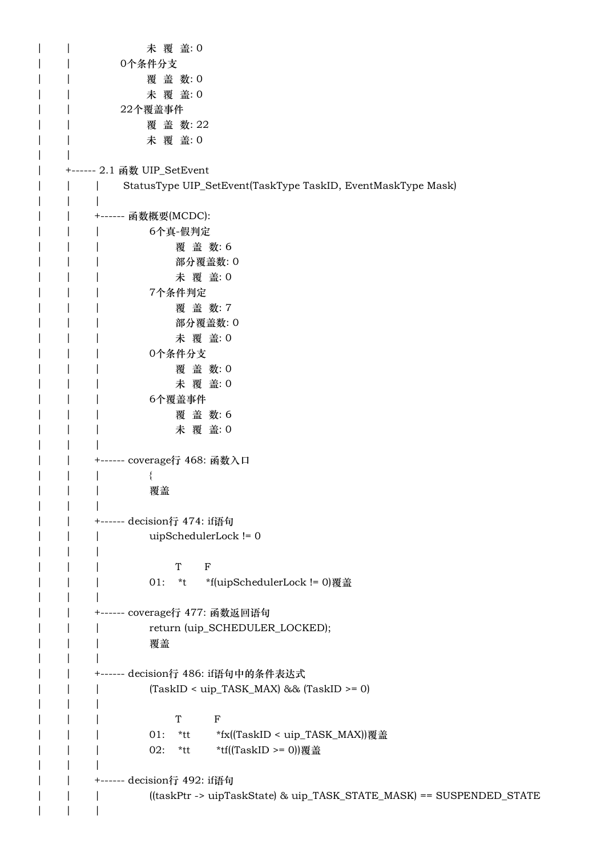| | 本覆 盖: 0 | | 0个条件分支 | | 覆 盖 数: 0 | | 本覆 盖: 0 | | 22个覆盖事件 | | 覆 蓋 数: 22 | | 未 覆 盖: 0 | | | +------ 2.1 函数 UIP\_SetEvent | | | StatusType UIP\_SetEvent(TaskType TaskID, EventMaskType Mask) | | | | | +------ 函数概要(MCDC): | | | 6个真-假判定 | | | 覆 盖 数: 6 | | | 部分覆盖数: 0 | | | 未 覆 盖: 0 | | | 7个条件判定 | | | 覆 盖 数: 7 | | | 部分覆盖数: 0 | | | 未 覆 盖: 0 | | | 0个条件分支 | | | 覆 盖 数: 0 | | | 未 覆 盖: 0 | | | 6个覆盖事件 | | | 覆 盖 数: 6 | | | 未 覆 盖: 0  $| \cdot |$ | | +------ coverage行 468: 函数入口 | | | { | | | 覆盖  $| \cdot |$ | | +------ decision行 474: if语句 | | | uipSchedulerLock != 0  $| \cdot |$ | | | T F | | | 01: \*t \*f(uipSchedulerLock != 0)覆盖  $| \cdot |$ | | +------ coverage行 477: 函数返回语句 | | return (uip\_SCHEDULER\_LOCKED); | | | 覆盖 | | | | | +------ decision行 486: if语句中的条件表达式 | | | (TaskID < uip\_TASK\_MAX) && (TaskID >= 0)  $| \cdot |$ | | | T F | | 01: \*tt \*fx((TaskID < uip\_TASK\_MAX))覆盖 | | 02: \*tt \*tf((TaskID >= 0))覆盖 | | | | | +------ decision行 492: if语句 | | | ((taskPtr -> uipTaskState) & uip\_TASK\_STATE\_MASK) == SUSPENDED\_STATE | | |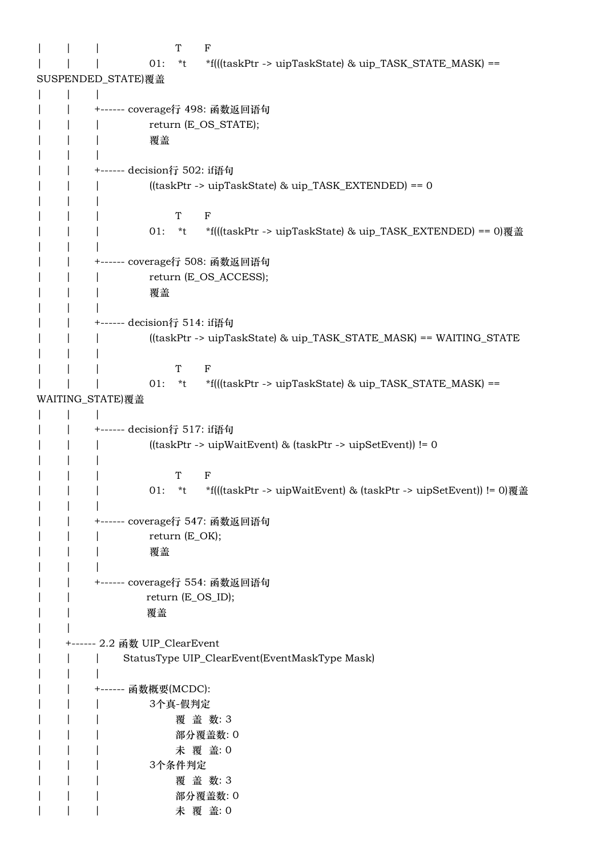| T<br>F                                                                     |
|----------------------------------------------------------------------------|
| *f(((taskPtr -> uipTaskState) & uip_TASK_STATE_MASK) ==<br>01:<br>$*$ t    |
| SUSPENDED_STATE)覆盖                                                         |
|                                                                            |
| +------ coverage行 498: 函数返回语句                                              |
| return (E_OS_STATE);                                                       |
| 覆盖                                                                         |
|                                                                            |
| +------ decision行 502: if语句                                                |
| ((taskPtr -> uipTaskState) & uip_TASK_EXTENDED) == 0                       |
|                                                                            |
| T<br>$\mathbf{F}$                                                          |
| *f(((taskPtr -> uipTaskState) & uip_TASK_EXTENDED) == 0)覆盖<br>01:<br>$*$ t |
|                                                                            |
| +------ coverage行 508: 函数返回语句                                              |
| return (E_OS_ACCESS);                                                      |
| 覆盖                                                                         |
|                                                                            |
| +------ decision行 514: if语句                                                |
| ((taskPtr -> uipTaskState) & uip_TASK_STATE_MASK) == WAITING_STATE         |
|                                                                            |
| $\mathbf{F}$<br>T                                                          |
| *f(((taskPtr -> uipTaskState) & uip_TASK_STATE_MASK) ==<br>01:<br>$*$ t    |
| WAITING_STATE)覆盖                                                           |
| +------ decision行 517: if语句                                                |
| ((taskPtr -> uipWaitEvent) & (taskPtr -> uipSetEvent)) != 0                |
|                                                                            |
| Т<br>F                                                                     |
| 01: *t *f(((taskPtr -> uipWaitEvent) & (taskPtr -> uipSetEvent)) != 0)覆盖   |
|                                                                            |
| +------ coverage行 547: 函数返回语句                                              |
| $return (E_OK);$                                                           |
| 覆盖                                                                         |
|                                                                            |
| +------ coverage行 554: 函数返回语句                                              |
| return (E_OS_ID);                                                          |
| 覆盖                                                                         |
|                                                                            |
|                                                                            |
| StatusType UIP_ClearEvent(EventMaskType Mask)                              |
|                                                                            |
| ----- 函数概要(MCDC):                                                          |
| 3个真-假判定                                                                    |
| 覆盖数:3                                                                      |
| 部分覆盖数: 0                                                                   |
| 未 覆 盖: 0                                                                   |
| 3个条件判定                                                                     |
| 覆盖数:3                                                                      |
| 部分覆盖数: 0                                                                   |
| 未 覆 盖: 0                                                                   |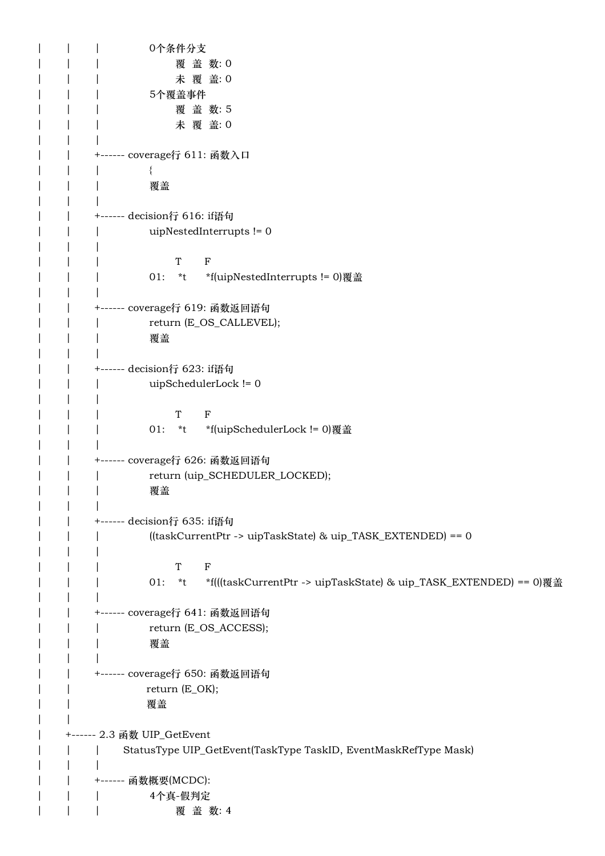| | | 0个条件分支 | | | | 覆 盖 数:0 | | | 木覆 盖: 0 | | | 5个覆盖事件 | | | 覆 盖 数: 5 | | | 未 覆 盖: 0  $| \cdot |$ | | +------ coverage行 611: 函数入口 | | | { | | | 覆盖 | | | | | +------ decision行 616: if语句 | | | uipNestedInterrupts != 0 | | | | | | T F | | | 01: \*t \*f(uipNestedInterrupts != 0)覆盖 | | | | | +------ coverage行 619: 函数返回语句 | | return (E\_OS\_CALLEVEL); | | | 覆盖 | | | | | +------ decision行 623: if语句 | | | uipSchedulerLock != 0 | | | | | | T F | | | 01: \*t \*f(uipSchedulerLock != 0)覆盖 | | | | | +------ coverage行 626: 函数返回语句 | | return (uip\_SCHEDULER\_LOCKED); | | | 覆盖  $| \cdot |$ | | +------ decision行 635: if语句 | | | ((taskCurrentPtr -> uipTaskState) & uip\_TASK\_EXTENDED) == 0 | | | | | | T F | | | 01: \*t \*f(((taskCurrentPtr -> uipTaskState) & uip\_TASK\_EXTENDED) == 0)覆盖  $| \cdot |$ | | +------ coverage行 641: 函数返回语句 | | return (E\_OS\_ACCESS); | | | 覆盖 | | | | | +------ coverage行 650: 函数返回语句 | return (E\_OK); | | 覆盖  $| \cdot |$ | +------ 2.3 函数 UIP\_GetEvent | | | StatusType UIP\_GetEvent(TaskType TaskID, EventMaskRefType Mask) | | | | | +------ 函数概要(MCDC): | | | 4个真-假判定 | | | | 覆 盖 数: 4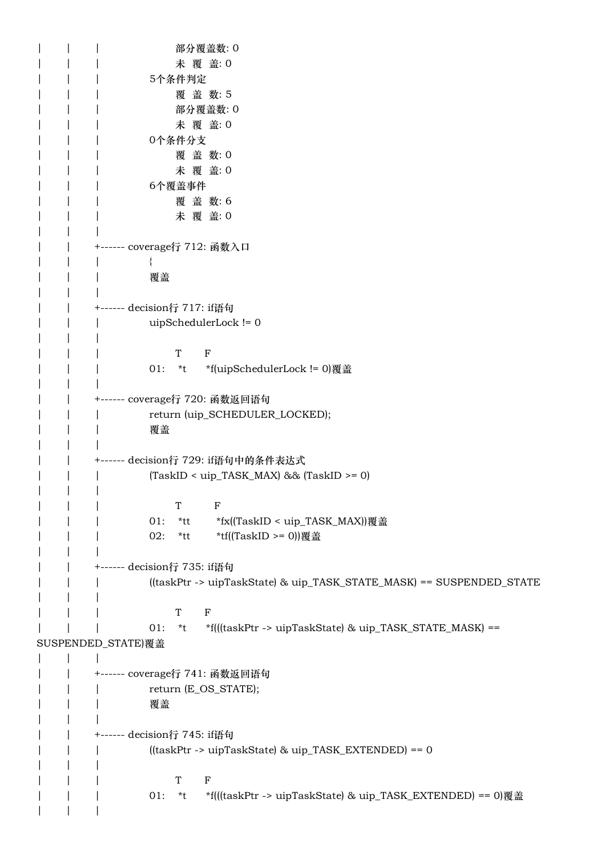| | | | 部分覆盖数: 0 | | | 木覆 盖: 0 | | | 5个条件判定 | | | 覆 盖 数: 5 | | | 部分覆盖数: 0 | | 木覆 盖: 0 | | | 0个条件分支 | | | 覆 盖 数: 0 | | | 未 覆 盖: 0 | | | 6个覆盖事件 | | | 覆盖数:6 | | | 未 覆 盖: 0  $| \cdot |$ | | +------ coverage行 712: 函数入口 | | | { | | | 覆盖 | | | | | +------ decision行 717: if语句 | | | uipSchedulerLock != 0 | | | | | | T F | | | 01: \*t \*f(uipSchedulerLock != 0)覆盖 | | | | | +------ coverage行 720: 函数返回语句 | | return (uip\_SCHEDULER\_LOCKED); | | | 覆盖  $| \cdot |$ | | +------ decision行 729: if语句中的条件表达式 | | | (TaskID < uip\_TASK\_MAX) && (TaskID >= 0)  $| \cdot |$ | | | T F | | 01: \*tt \*fx((TaskID < uip\_TASK\_MAX))覆盖 | | 02: \*tt \*tf((TaskID >= 0))覆盖 | | | | | +------ decision行 735: if语句 | | | ((taskPtr -> uipTaskState) & uip\_TASK\_STATE\_MASK) == SUSPENDED\_STATE | | | | | | T F | | | 01: \*t \*f(((taskPtr -> uipTaskState) & uip\_TASK\_STATE\_MASK) == SUSPENDED STATE)覆盖 | | | | | +------ coverage行 741: 函数返回语句 | | return (E\_OS\_STATE); | | | 覆盖 | | | | | +------ decision行 745: if语句 | | | ((taskPtr -> uipTaskState) & uip\_TASK\_EXTENDED) == 0  $| \cdot |$ | | | T F | | 01: \*t \*f(((taskPtr -> uipTaskState) & uip TASK\_EXTENDED) == 0)覆盖 | | |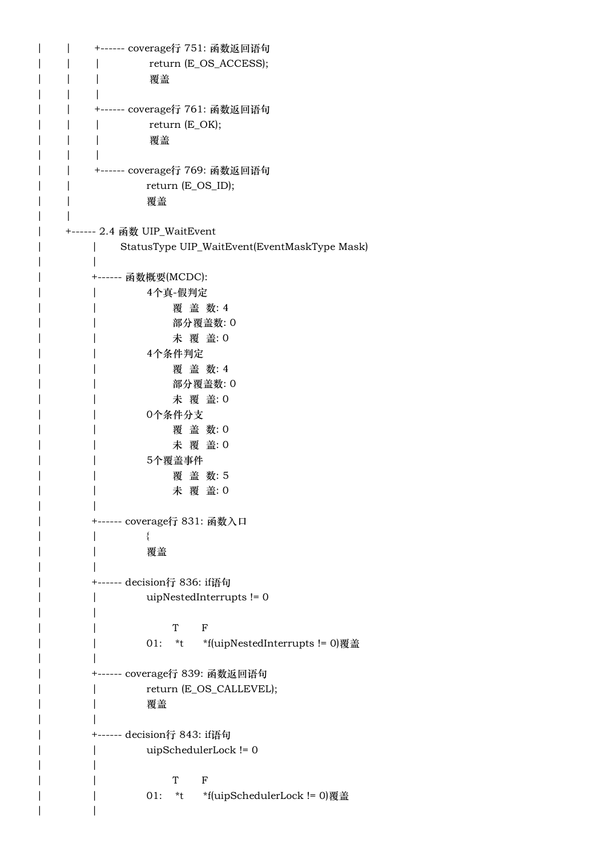| | +------ coverage行 751: 函数返回语句 | | | return (E\_OS\_ACCESS); | | | 覆盖  $| \cdot |$ | | +------ coverage行 761: 函数返回语句 | | | return (E\_OK); | | | 覆盖 | | | | | +------ coverage行 769: 函数返回语句 | return (E\_OS\_ID); | | 覆盖 | | | +------ 2.4 函数 UIP\_WaitEvent | | StatusType UIP\_WaitEvent(EventMaskType Mask) | | | +------ 函数概要(MCDC): | | 4个真-假判定 | | 覆 盖 数: 4 | | 部分覆盖数: 0 | | 未 覆 盖: 0 | | 4个条件判定 | | 覆 盖 数: 4 | | 部分覆盖数: 0 | | 未 覆 盖: 0 | | 0个条件分支 | | 覆 盖 数: 0 | | 未 覆 盖: 0 | | 5个覆盖事件 | | 覆 盖 数: 5 | | 未 覆 盖: 0 | | | +------ coverage行 831: 函数入口 | | { | | 覆盖 | | | +------ decision行 836: if语句 | | uipNestedInterrupts != 0 | | | | T F | | 01: \*t \*f(uipNestedInterrupts != 0)覆盖 | | | +------ coverage行 839: 函数返回语句 | return (E\_OS\_CALLEVEL); | | 覆盖 | | | +------ decision行 843: if语句 | | uipSchedulerLock != 0  $\vert$ | | T F | | 01: \*t \*f(uipSchedulerLock != 0)覆盖 | |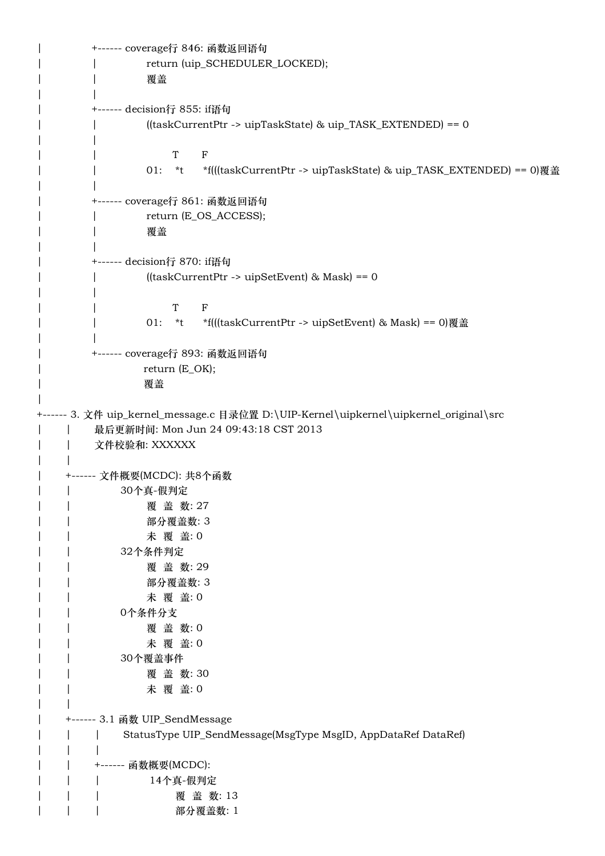| +------ coverage行 846: 函数返回语句 | return (uip\_SCHEDULER\_LOCKED); | | 覆盖 | | | +------ decision行 855: if语句 | | ((taskCurrentPtr -> uipTaskState) & uip\_TASK\_EXTENDED) == 0 | | | | T F | | 01: \*t \*f(((taskCurrentPtr -> uipTaskState) & uip\_TASK\_EXTENDED) == 0)覆盖 | | | +------ coverage行 861: 函数返回语句 | return (E\_OS\_ACCESS); | | 覆盖 | | | +------ decision行 870: if语句 | | ((taskCurrentPtr -> uipSetEvent) & Mask) == 0 | | | | T F | | 01: \*t \*f(((taskCurrentPtr -> uipSetEvent) & Mask) == 0)覆盖 | | | +------ coverage行 893: 函数返回语句 return (E\_OK); | 覆盖 | +------ 3. 文件 uip\_kernel\_message.c 目录位置 D:\UIP-Kernel\uipkernel\uipkernel\_original\src | | 最后更新时间: Mon Jun 24 09:43:18 CST 2013 | | 文件校验和: XXXXXX  $| \cdot |$ | +------ 文件概要(MCDC): 共8个函数 | | 30个真-假判定 | | 覆 盖 数: 27 | | 部分覆盖数: 3 | | 未 覆 盖: 0 | | 32个条件判定 覆 盖 数: 29 | | 部分覆盖数: 3 | | 未 覆 盖: 0 | | 0个条件分支 | | 覆 盖 数: 0 未 覆 盖: 0 | | 30个覆盖事件 | | 覆 盖 数: 30 | | 未 覆 盖: 0 | | | +------ 3.1 函数 UIP\_SendMessage | | | StatusType UIP\_SendMessage(MsgType MsgID, AppDataRef DataRef) | | | | | +------ 函数概要(MCDC): | | | 14个真-假判定 | | | 覆 盖 数: 13 | | | | 部分覆盖数: 1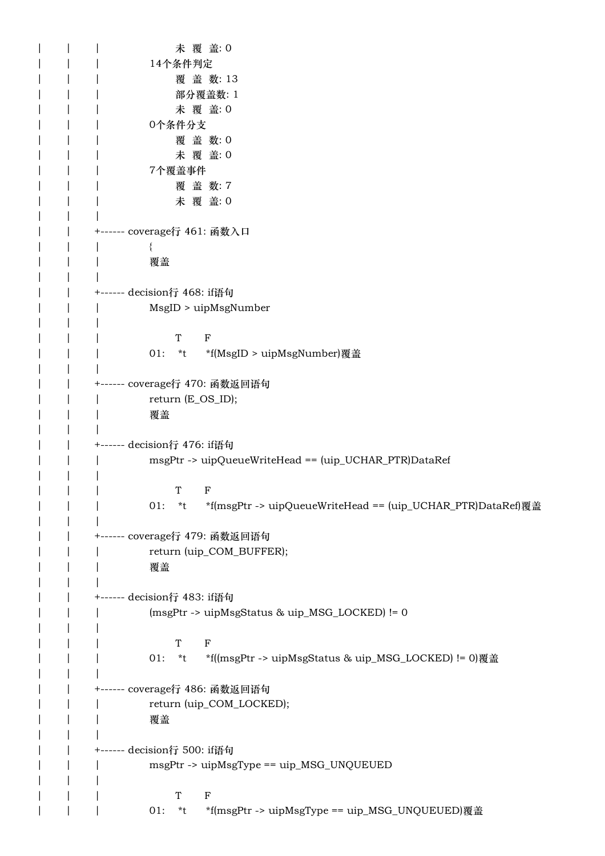| | | 木覆 盖: 0 | | | 14个条件判定 | | | | 覆 盖 数: 13 | | | 部分覆盖数: 1 | | | 未 覆 盖: 0 | | | 0个条件分支 | | | 覆 盖 数: 0 | | | 未 覆 盖: 0 | | | 7个覆盖事件 | | | 覆 盖 数: 7 | | | 未 覆 盖: 0 | | | | | +------ coverage行 461: 函数入口 | | | { | | | 覆盖  $| \cdot |$ | | +------ decision行 468: if语句 | | | MsgID > uipMsgNumber  $| \cdot |$ | | | T F | | | 01: \*t \*f(MsgID > uipMsgNumber)覆盖 | | | | | +------ coverage行 470: 函数返回语句 | | | return (E\_OS\_ID); | | | 覆盖 | | | | | +------ decision行 476: if语句 | | | msgPtr -> uipQueueWriteHead == (uip\_UCHAR\_PTR)DataRef | | | | | | T F | | 01: \*t \*f(msgPtr -> uipQueueWriteHead == (uip\_UCHAR\_PTR)DataRef)覆盖 | | | | | +------ coverage行 479: 函数返回语句 | | return (uip\_COM\_BUFFER); | | | 覆盖 | | | | | +------ decision行 483: if语句 | | | (msgPtr -> uipMsgStatus & uip\_MSG\_LOCKED) != 0  $| \cdot |$ | | | T F | | | 01: \*t \*f((msgPtr -> uipMsgStatus & uip\_MSG\_LOCKED) != 0)覆盖 | | | | | +------ coverage行 486: 函数返回语句 | | return (uip\_COM\_LOCKED); | | | 覆盖 | | | | | +------ decision行 500: if语句 | | msgPtr -> uipMsgType == uip\_MSG\_UNQUEUED  $| \cdot |$ | | | T F | | | 01: \*t \*f(msgPtr -> uipMsgType == uip\_MSG\_UNQUEUED)覆盖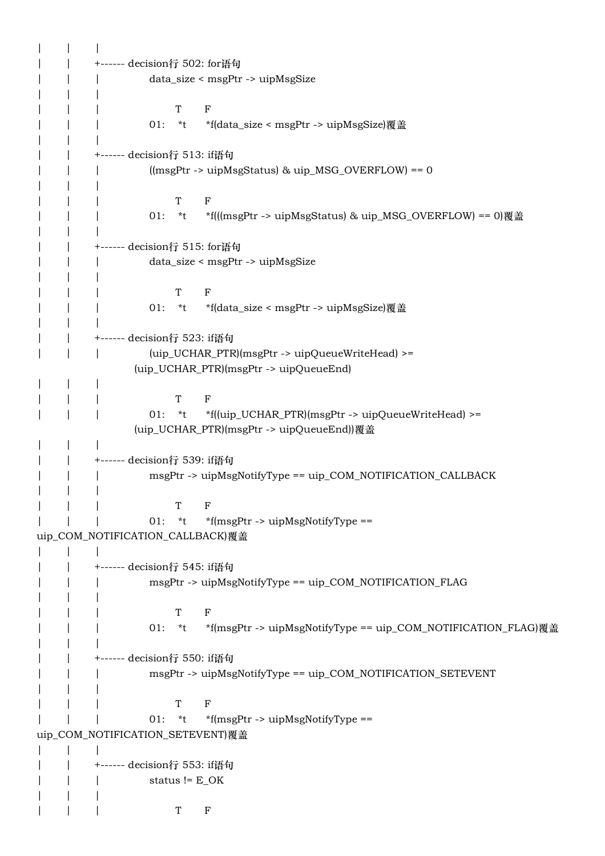| | | +------ decision行 502: for语句 | | | data\_size < msgPtr -> uipMsgSize | | | | | | T F | | | 01: \*t \*f(data\_size < msgPtr -> uipMsgSize)覆盖 | | | | | +------ decision行 513: if语句 | | | ((msgPtr -> uipMsgStatus) & uip\_MSG\_OVERFLOW) == 0 | | | | | | T F | | 01: \*t \*f(((msgPtr -> uipMsgStatus) & uip\_MSG\_OVERFLOW) == 0)覆盖 | | | | | +------ decision行 515: for语句 | | | data\_size < msgPtr -> uipMsgSize | | | | | | T F | | | 01: \*t \*f(data\_size < msgPtr -> uipMsgSize)覆盖 | | | | | +------ decision行 523: if语句 | | | (uip\_UCHAR\_PTR)(msgPtr -> uipQueueWriteHead) >= (uip\_UCHAR\_PTR)(msgPtr -> uipQueueEnd) | | | | | | T F | | | 01: \*t \*f((uip\_UCHAR\_PTR)(msgPtr -> uipQueueWriteHead) >= (uip\_UCHAR\_PTR)(msgPtr -> uipQueueEnd))覆盖 | | | | | +------ decision行 539: if语句 | msgPtr -> uipMsgNotifyType == uip\_COM\_NOTIFICATION\_CALLBACK | | | | | | T F |  $|$  01:  $*t$   $*$ f(msgPtr -> uipMsgNotifyType == uip\_COM\_NOTIFICATION\_CALLBACK)覆盖  $| \cdot |$ | | +------ decision行 545: if语句 | | | msgPtr -> uipMsgNotifyType == uip\_COM\_NOTIFICATION\_FLAG | | | | | | T F | | | 01: \*t \*f(msgPtr -> uipMsgNotifyType == uip\_COM\_NOTIFICATION\_FLAG)覆盖 | | | | | +------ decision行 550: if语句 | | msgPtr -> uipMsgNotifyType == uip COM\_NOTIFICATION\_SETEVENT | | | | | | T F |  $|$  01:  $*t$   $*$ f(msgPtr -> uipMsgNotifyType == uip\_COM\_NOTIFICATION\_SETEVENT)覆盖 | | | | | +------ decision行 553: if语句 | | | status != E\_OK | | | | | | T F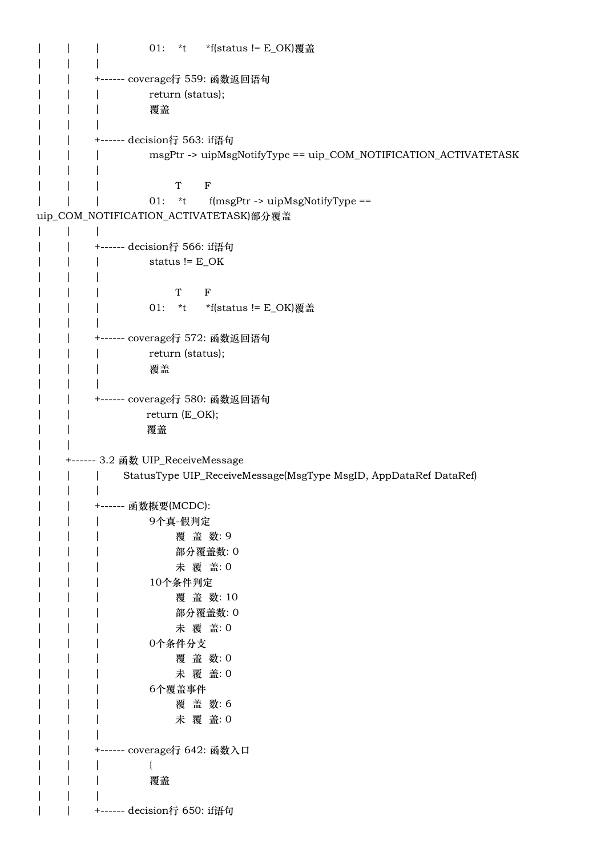```
| | | 01: *t *f(status != E_OK)覆盖
| | |
   | | +------ coverage行 559: 函数返回语句
| | | return (status);
   | | | 覆盖
| | |
| | +------ decision行 563: if语句
   | | | msgPtr -> uipMsgNotifyType == uip_COM_NOTIFICATION_ACTIVATETASK
| | | 
| | | T F
| | | 01: *t f(msgPtr -> uipMsgNotifyType ==
uip_COM_NOTIFICATION_ACTIVATETASK)部分覆盖
| | |
| | +------ decision行 566: if语句
   | | | status != E_OK
   \| \cdot \|| | | T F
   | | | 01: *t *f(status != E_OK)覆盖
   \| \cdot \|| | +------ coverage行 572: 函数返回语句
   | | | return (status);
   | | | 覆盖
   | \cdot || | +------ coverage行 580: 函数返回语句
| | return (E_OK);
   | | 覆盖
\| \cdot \|| +------ 3.2 函数 UIP_ReceiveMessage
   | | | StatusType UIP_ReceiveMessage(MsgType MsgID, AppDataRef DataRef)
| | |
   | | +------ 函数概要(MCDC):
   | | | 9个真-假判定
   | | | 覆盖数:9
   | | | 部分覆盖数: 0
   | | | 未 覆 盖: 0
   | | | 10个条件判定
   | | | 覆 盖 数: 10
   | | | 部分覆盖数: 0
   | | | 未 覆 盖: 0
   | | | 0个条件分支
   | | | 覆 盖 数: 0
   | | | 未 覆 盖: 0
   | | | 6个覆盖事件
   | | | 覆 盖 数: 6
   | | | 未 覆 盖: 0
| | |
   | | +------ coverage行 642: 函数入口
| | | {
| | | 覆盖
| | |
| | +------ decision行 650: if语句
```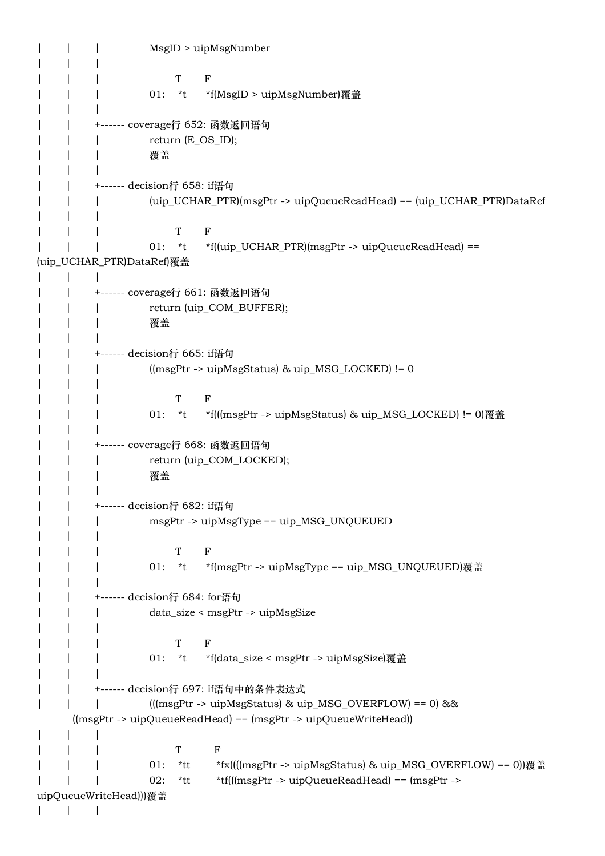| | | MsgID > uipMsgNumber | | | | | | T F | | | 01: \*t \*f(MsgID > uipMsgNumber)覆盖 | | | | | +------ coverage行 652: 函数返回语句 | | | return (E\_OS\_ID); | | | 覆盖 | | | | | +------ decision行 658: if语句 | | | (uip\_UCHAR\_PTR)(msgPtr -> uipQueueReadHead) == (uip\_UCHAR\_PTR)DataRef | | | | | | T F | | | 01: \*t \*f((uip\_UCHAR\_PTR)(msgPtr -> uipQueueReadHead) == (uip\_UCHAR\_PTR)DataRef)覆盖  $| \cdot |$ | | +------ coverage行 661: 函数返回语句 | | return (uip\_COM\_BUFFER); | | | 覆盖 | | | | | +------ decision行 665: if语句 | | | ((msgPtr -> uipMsgStatus) & uip\_MSG\_LOCKED) != 0 | | | | | | T F | | | 01: \*t \*f(((msgPtr -> uipMsgStatus) & uip\_MSG\_LOCKED) != 0)覆盖 | | | | | +------ coverage行 668: 函数返回语句 | | return (uip\_COM\_LOCKED); | | | 覆盖 | | | | | +------ decision行 682: if语句 | | msgPtr -> uipMsgType == uip\_MSG\_UNQUEUED | | | | | | T F | 01: \*t \*f(msgPtr -> uipMsgType == uip\_MSG\_UNQUEUED)覆盖 | | | | | +------ decision行 684: for语句 | | | data\_size < msgPtr -> uipMsgSize | | | | | | T F | | | 01: \*t \*f(data\_size < msgPtr -> uipMsgSize)覆盖 | | | | | +------ decision行 697: if语句中的条件表达式  $|$  |  $|$  (((msgPtr -> uipMsgStatus) & uip\_MSG\_OVERFLOW) == 0) && ((msgPtr -> uipQueueReadHead) == (msgPtr -> uipQueueWriteHead)) | | | | | | T F | | 01: \*tt \*fx((((msgPtr -> uipMsgStatus) & uip MSG\_OVERFLOW) == 0))覆盖 | | | 02: \*tt \*tf(((msgPtr -> uipQueueReadHead) == (msgPtr -> uipQueueWriteHead)))覆盖 | | |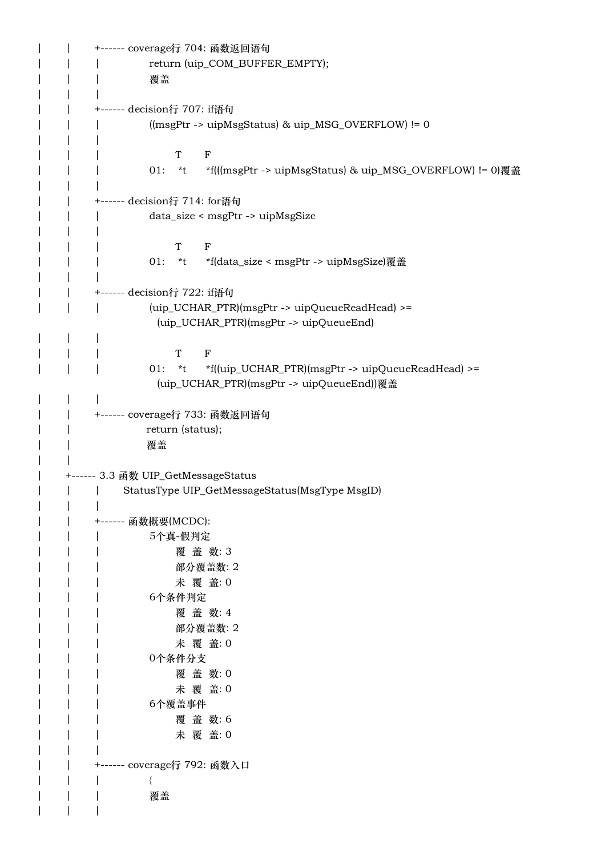| | +------ coverage行 704: 函数返回语句 | | | return (uip\_COM\_BUFFER\_EMPTY); | | | 覆盖 | | | | | +------ decision行 707: if语句 | | | ((msgPtr -> uipMsgStatus) & uip\_MSG\_OVERFLOW) != 0 | | | | | | T F | | | 01: \*t \*f(((msgPtr -> uipMsgStatus) & uip\_MSG\_OVERFLOW) != 0)覆盖 | | | | | +------ decision行 714: for语句 | | | data\_size < msgPtr -> uipMsgSize | | | | | | T F | | | 01: \*t \*f(data\_size < msgPtr -> uipMsgSize)覆盖 | | | | | +------ decision行 722: if语句 | | | (uip\_UCHAR\_PTR)(msgPtr -> uipQueueReadHead) >= (uip\_UCHAR\_PTR)(msgPtr -> uipQueueEnd) | | | | | | T F | | | 01: \*t \*f((uip\_UCHAR\_PTR)(msgPtr -> uipQueueReadHead) >= (uip\_UCHAR\_PTR)(msgPtr -> uipQueueEnd))覆盖 | | | | | +------ coverage行 733: 函数返回语句 | | return (status); | | 覆盖 | | | +------ 3.3 函数 UIP\_GetMessageStatus | | | StatusType UIP\_GetMessageStatus(MsgType MsgID) | | | | | +------ 函数概要(MCDC): | | | 5个真-假判定 | | | 覆 盖 数: 3 | | | 部分覆盖数: 2 | | 本覆 盖: 0 | | | 6个条件判定 | | | 覆 盖 数: 4 | | | 部分覆盖数: 2 | | | 未 覆 盖: 0 | | | 0个条件分支 | | | 覆 盖 数: 0 | | | 未 覆 盖: 0 | | | 6个覆盖事件 | | | 覆 盖 数: 6 | | | 未 覆 盖: 0 | | | | | +------ coverage行 792: 函数入口 | | | { | | | 覆盖 | | |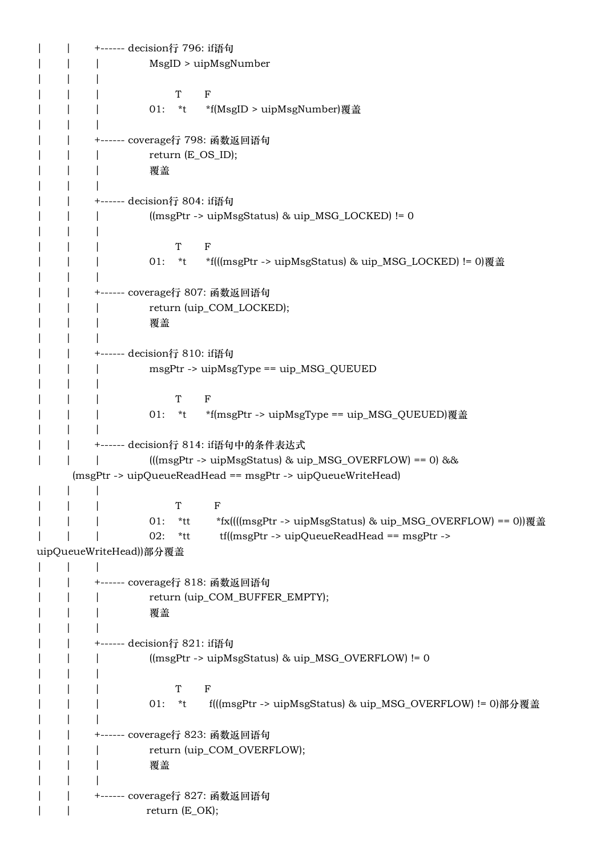| | +------ decision行 796: if语句 | | | MsgID > uipMsgNumber | | | | | | T F | | | 01: \*t \*f(MsgID > uipMsgNumber)覆盖 | | | | | +------ coverage行 798: 函数返回语句 | return (E\_OS\_ID); | | | 覆盖 | | | | | +------ decision行 804: if语句 | | | ((msgPtr -> uipMsgStatus) & uip\_MSG\_LOCKED) != 0 | | | | | | T F | | | 01: \*t \*f(((msgPtr -> uipMsgStatus) & uip\_MSG\_LOCKED) != 0)覆盖 | | | | | +------ coverage行 807: 函数返回语句 | | return (uip\_COM\_LOCKED); | | | 覆盖 | | | | | +------ decision行 810: if语句 | | | msgPtr -> uipMsgType == uip\_MSG\_QUEUED | | | | | | T F | | | 01: \*t \*f(msgPtr -> uipMsgType == uip\_MSG\_QUEUED)覆盖 | | | | | +------ decision行 814: if语句中的条件表达式 | | | (((msgPtr -> uipMsgStatus) & uip\_MSG\_OVERFLOW) == 0) && (msgPtr -> uipQueueReadHead == msgPtr -> uipQueueWriteHead) | | | | | | T F 01: \*tt \*fx((((msgPtr -> uipMsgStatus) & uip\_MSG\_OVERFLOW) == 0))覆盖 | | | 02: \*tt tf((msgPtr -> uipQueueReadHead == msgPtr -> uipQueueWriteHead))部分覆盖 | | | | | +------ coverage行 818: 函数返回语句 | | return (uip\_COM\_BUFFER\_EMPTY); | | | 覆盖 | | | | | +------ decision行 821: if语句 | | | ((msgPtr -> uipMsgStatus) & uip\_MSG\_OVERFLOW) != 0 | | | | | | T F | | | 01: \*t f(((msgPtr -> uipMsgStatus) & uip\_MSG\_OVERFLOW) != 0)部分覆盖 | | | | | +------ coverage行 823: 函数返回语句 | | return (uip\_COM\_OVERFLOW); | | | 覆盖 | | | | | +------ coverage行 827: 函数返回语句 | | return (E\_OK);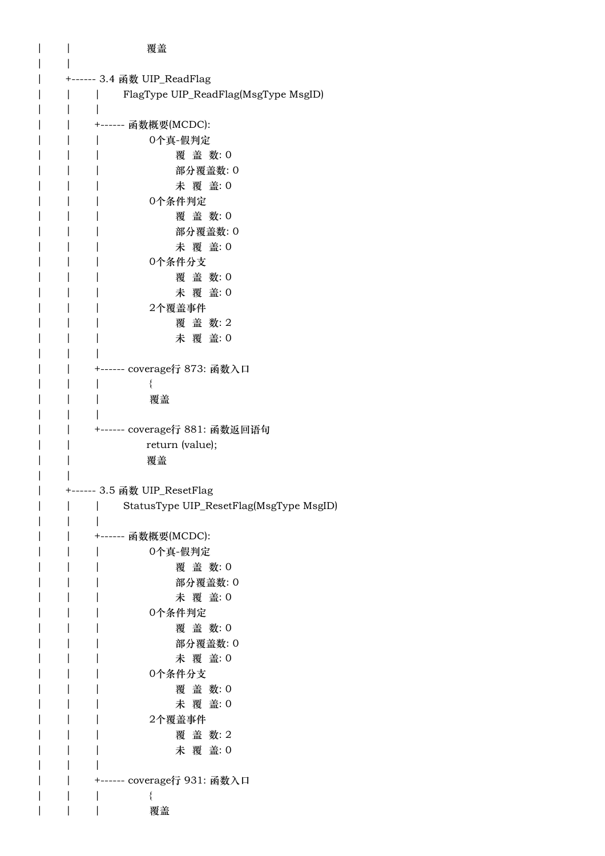| | 覆盖 | | | +------ 3.4 函数 UIP\_ReadFlag | | | FlagType UIP\_ReadFlag(MsgType MsgID) | | | | | +------ 函数概要(MCDC): | | | 0个真-假判定 | | | 覆 盖 数: 0 | | | 部分覆盖数: 0 | | | 未 覆 盖: 0 | | | 0个条件判定 | | | 覆 盖 数: 0 | | | 部分覆盖数: 0 | | | 未 覆 盖: 0 | | | 0个条件分支 | | | 覆 盖 数: 0 | | | 未 覆 盖: 0 | | | 2个覆盖事件 | | | 覆盖数:2 | | | 未 覆 盖: 0 | | | | | +------ coverage行 873: 函数入口 | | | { | | | 覆盖 | | | | | +------ coverage行 881: 函数返回语句 | | return (value); | | 覆盖 | | | +------ 3.5 函数 UIP\_ResetFlag | | | StatusType UIP\_ResetFlag(MsgType MsgID) | | | | | +------ 函数概要(MCDC): | | | 0个真-假判定 | | | 覆 盖 数: 0 | | | 部分覆盖数: 0 | | | 未 覆 盖: 0 | | | 0个条件判定 | | | 覆 盖 数: 0 | | | 部分覆盖数: 0 | | | 未 覆 盖: 0 | | | 0个条件分支 | | | 覆 盖 数: 0 | | | 未 覆 盖: 0 | | | 2个覆盖事件 | | | 覆 盖 数: 2 | | | 未 覆 盖: 0 | | | | | +------ coverage行 931: 函数入口 | | | { | | | 覆盖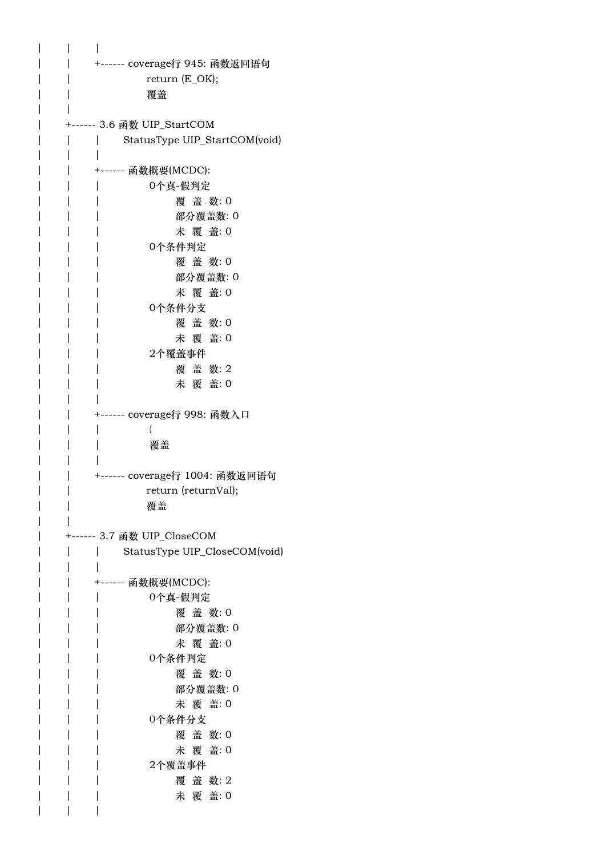| +------ coverage行 945: 函数返回语句            |
|------------------------------------------|
| return (E_OK);                           |
| 覆盖                                       |
|                                          |
|                                          |
| StatusType UIP_StartCOM(void)            |
|                                          |
| ------ 函数概要(MCDC):                       |
| 0个真-假判定<br>覆盖 数:0                        |
| 部分覆盖数:0                                  |
| 未 覆 盖: 0                                 |
| 0个条件判定                                   |
| 覆盖 数:0                                   |
| 部分覆盖数:0                                  |
| 未 覆 盖: 0                                 |
| 0个条件分支                                   |
| 覆盖数:0                                    |
| 未 覆 盖: 0                                 |
| 2个覆盖事件                                   |
| 覆盖数:2                                    |
| 未 覆 盖: 0                                 |
| ------ coverage <mark>行 998: 函数入口</mark> |
|                                          |
| 覆盖                                       |
|                                          |
| +------ coverage行 1004: 函数返回语句           |
| return (returnVal);                      |
| 覆盖                                       |
|                                          |
| StatusType UIP_CloseCOM(void)            |
|                                          |
| 函数概要(MCDC):<br>------                    |
| 0个真-假判定                                  |
| 覆 盖 数:0                                  |
| 部分覆盖数:0                                  |
| 未 覆 盖: 0                                 |
| 0个条件判定                                   |
| 覆盖数:0                                    |
| 部分覆盖数: 0                                 |
| 未 覆 盖: 0                                 |
| 0个条件分支<br>覆盖数:0                          |
| 未 覆 盖: 0                                 |
| 2个覆盖事件                                   |
| 覆盖数:2                                    |
| 未 覆 盖: 0                                 |
|                                          |
|                                          |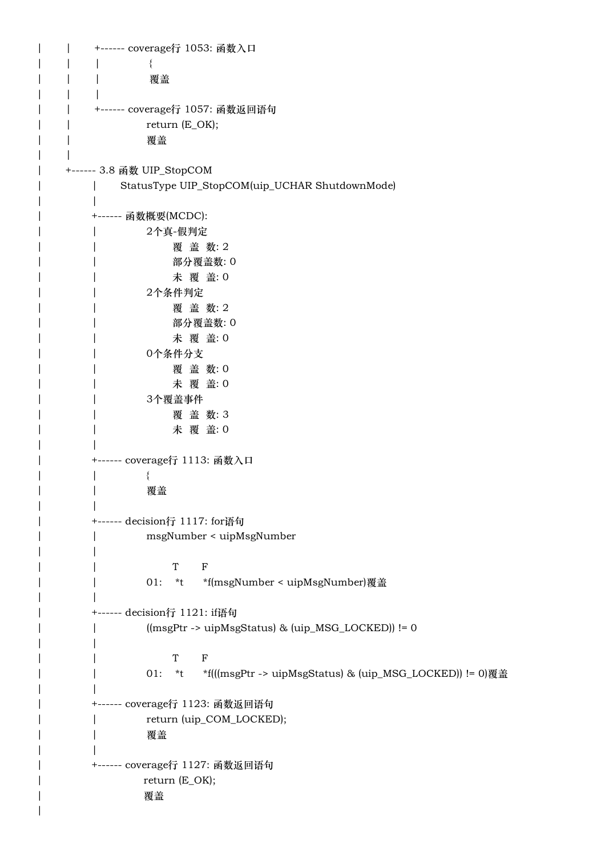```
| | +------ coverage行 1053: 函数入口
| | | {
| | | 覆盖
   \| \cdot \|| | +------ coverage行 1057: 函数返回语句
   | | return (E_OK);
   | | 覆盖
   | |
   | +------ 3.8 函数 UIP_StopCOM
      | | StatusType UIP_StopCOM(uip_UCHAR ShutdownMode)
      \vert| +------ 函数概要(MCDC):
      | | 2个真-假判定
      | | 覆 盖 数: 2
      | | 部分覆盖数: 0
      | | 未 覆 盖: 0
      | | 2个条件判定
      | | 覆 盖 数: 2
      | | 部分覆盖数: 0
      | | 未 覆 盖: 0
      | | 0个条件分支
      | | 覆 盖 数: 0
      | | 未 覆 盖: 0
      | | 3个覆盖事件
      | | 覆 盖 数: 3
      | | 未 覆 盖: 0
| |
      | +------ coverage行 1113: 函数入口
| | {
      | | 覆盖
| |
      | +------ decision行 1117: for语句
      | | msgNumber < uipMsgNumber
      \|| | T F
      | | 01: *t *f(msgNumber < uipMsgNumber)覆盖
| |
      | +------ decision行 1121: if语句
      | | ((msgPtr -> uipMsgStatus) & (uip_MSG_LOCKED)) != 0
      | | 
| | T F
      | | 01: *t *f(((msgPtr -> uipMsgStatus) & (uip_MSG_LOCKED)) != 0)覆盖
| |
      | +------ coverage行 1123: 函数返回语句
      | return (uip_COM_LOCKED);
      | | 覆盖
| |
      | +------ coverage行 1127: 函数返回语句
| return (E_OK);
| 覆盖
```
|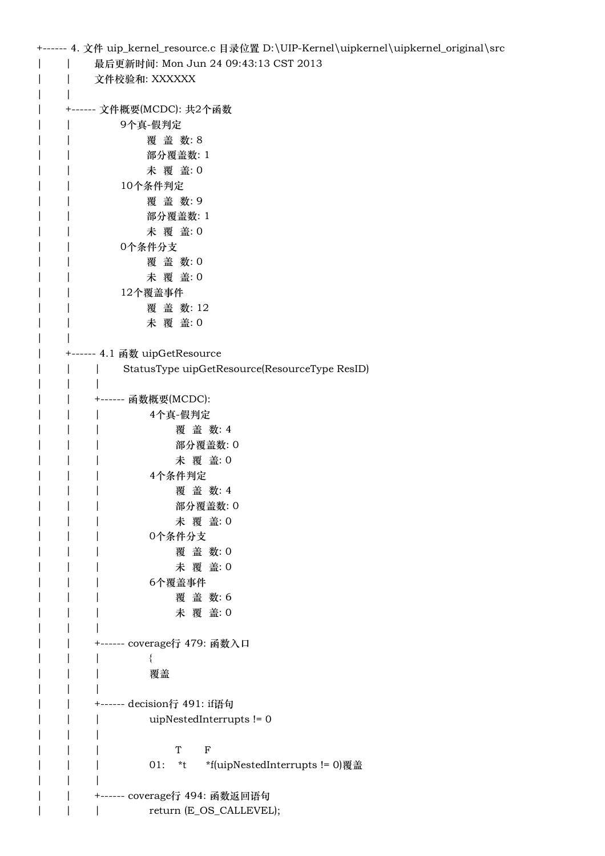| 最后更新时间: Mon Jun 24 09:43:13 CST 2013<br>文件校验和: XXXXXX<br>+------ 文件概要(MCDC): 共2个函数<br>9个真-假判定<br>覆盖数:8<br>部分覆盖数: 1 |
|--------------------------------------------------------------------------------------------------------------------|
|                                                                                                                    |
|                                                                                                                    |
|                                                                                                                    |
|                                                                                                                    |
|                                                                                                                    |
|                                                                                                                    |
|                                                                                                                    |
| 未 覆 盖: 0                                                                                                           |
| 10个条件判定                                                                                                            |
| 覆盖数:9                                                                                                              |
| 部分覆盖数: 1                                                                                                           |
| 未 覆 盖: 0                                                                                                           |
| 0个条件分支                                                                                                             |
| 覆盖 数:0                                                                                                             |
| 未 覆 盖: 0                                                                                                           |
| 12个覆盖事件                                                                                                            |
| 覆盖数:12                                                                                                             |
| 未 覆 盖: 0                                                                                                           |
|                                                                                                                    |
| +------ 4.1 函数 uipGetResource                                                                                      |
| StatusType uipGetResource(ResourceType ResID)                                                                      |
|                                                                                                                    |
| +------ 函数概要(MCDC):                                                                                                |
| 4个真-假判定                                                                                                            |
| 覆盖数: 4                                                                                                             |
| 部分覆盖数: 0                                                                                                           |
| 未 覆 盖: 0                                                                                                           |
| 4个条件判定                                                                                                             |
| 覆盖 数: 4                                                                                                            |
| 部分覆盖数:0                                                                                                            |
| 未 覆 盖: 0                                                                                                           |
| 0个条件分支                                                                                                             |
| 覆盖数:0                                                                                                              |
| 未 覆 盖: 0                                                                                                           |
| 6个覆盖事件                                                                                                             |
| 覆盖数:6                                                                                                              |
| 未 覆 盖: 0                                                                                                           |
| +------ coverage行 479: 函数入口                                                                                        |
|                                                                                                                    |
| 覆盖                                                                                                                 |
|                                                                                                                    |
| +------ decision行 491: if语句                                                                                        |
| uipNestedInterrupts != 0                                                                                           |
|                                                                                                                    |
| $\rm T$<br>$\mathbf F$                                                                                             |
| $*_{t}$<br>*f(uipNestedInterrupts != 0)覆盖<br>01:                                                                   |
|                                                                                                                    |
|                                                                                                                    |
| return (E_OS_CALLEVEL);                                                                                            |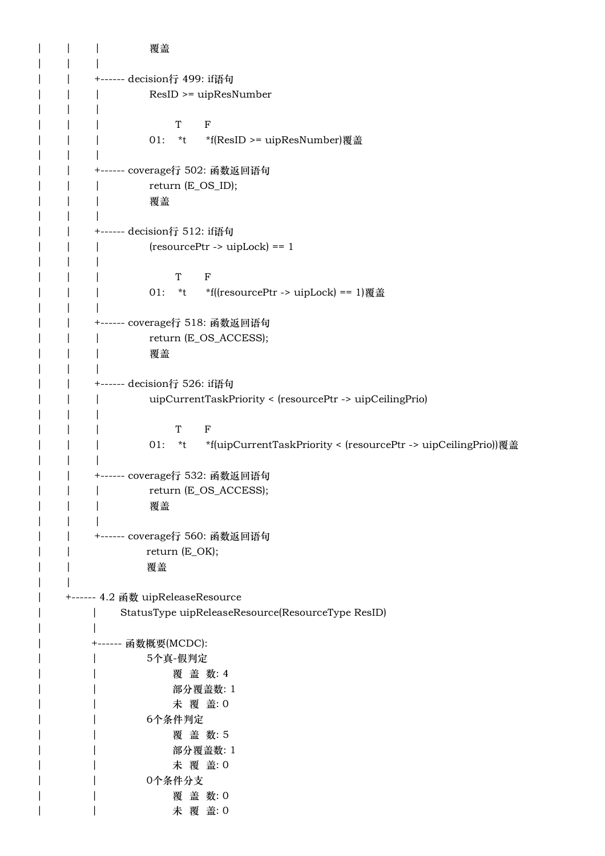```
| | | 覆盖
| | |
   | | +------ decision行 499: if语句
   | | | ResID >= uipResNumber
| | | 
| | | T F
   | | 01: *t *f(ResID >= uipResNumber)覆盖
| | |
   | | +------ coverage行 502: 函数返回语句
   | | | return (E_OS_ID);
   | | | 覆盖
| | |
   | | +------ decision行 512: if语句
   | | | (resourcePtr -> uipLock) == 1
| | | 
| | | T F
   | | 01: *t *f((resourcePtr -> uipLock) == 1)覆盖
| | |
   | | +------ coverage行 518: 函数返回语句
   | | return (E_OS_ACCESS);
   | | | 覆盖
   | \cdot || | +------ decision行 526: if语句
   | | | uipCurrentTaskPriority < (resourcePtr -> uipCeilingPrio)
   | \cdot || | | T F
   | | | 01: *t *f(uipCurrentTaskPriority < (resourcePtr -> uipCeilingPrio))覆盖
   \| \cdot \|| | +------ coverage行 532: 函数返回语句
   | | return (E_OS_ACCESS);
   | | | 覆盖
| | |
   | | +------ coverage行 560: 函数返回语句
   | | return (E_OK);
   | | 覆盖
   | |
| +------ 4.2 函数 uipReleaseResource
| | StatusType uipReleaseResource(ResourceType ResID)
| |
       | +------ 函数概要(MCDC):
       | | 5个真-假判定
       | | 覆 盖 数: 4
       | | 部分覆盖数: 1
       | | 未 覆 盖: 0
       | | 6个条件判定
       | | 覆 盖 数: 5
       | | 部分覆盖数: 1
       | | 未 覆 盖: 0
       | | 0个条件分支
       | | 覆 盖 数: 0
| | 大覆 盖: 0
```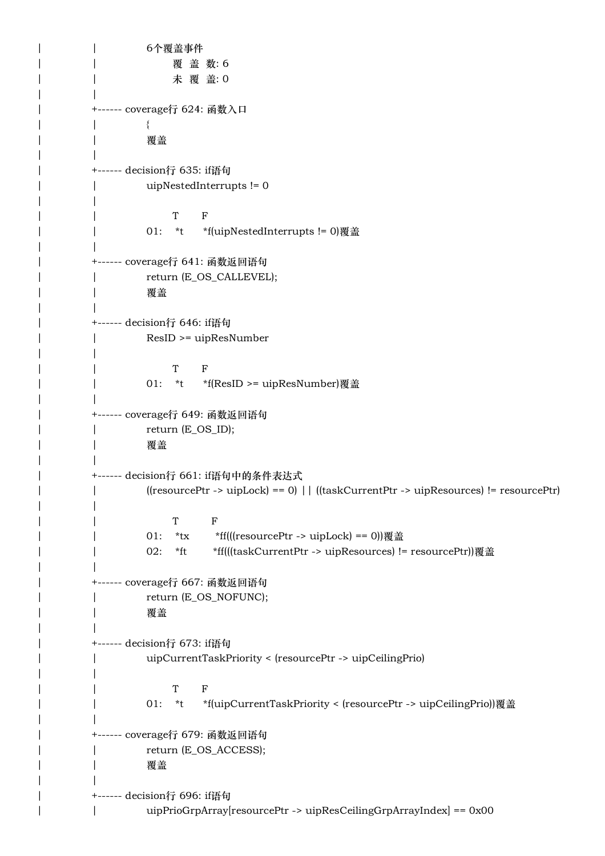```
| | 6个覆盖事件
| | | 覆盖数:6
       | | 未 覆 盖: 0
| |
       | +------ coverage行 624: 函数入口
| | {
       | | 覆盖
| |
       | +------ decision行 635: if语句
       | | uipNestedInterrupts != 0
       | | 
| | T F
       | | 01: *t *f(uipNestedInterrupts != 0)覆盖
| |
       | +------ coverage行 641: 函数返回语句
       | return (E_OS_CALLEVEL);
       | | 覆盖
| |
       | +------ decision行 646: if语句
       | | ResID >= uipResNumber
       | | 
| | T F
       | | 01: *t *f(ResID >= uipResNumber)覆盖
| |
       | +------ coverage行 649: 函数返回语句
       | return (E_OS_ID);
       | | 覆盖
| |
       | +------ decision行 661: if语句中的条件表达式
       | | ((resourcePtr -> uipLock) == 0) || ((taskCurrentPtr -> uipResources) != resourcePtr)
       | | 
| | T F
       | | 01: *tx *ff(((resourcePtr -> uipLock) == 0))覆盖
       | | 02: *ft *ff(((taskCurrentPtr -> uipResources) != resourcePtr))覆盖
| |
       | +------ coverage行 667: 函数返回语句
       | return (E_OS_NOFUNC);
       | | 覆盖
| |
       | +------ decision行 673: if语句
       | | uipCurrentTaskPriority < (resourcePtr -> uipCeilingPrio)
       | | 
| | T F
       | | 01: *t *f(uipCurrentTaskPriority < (resourcePtr -> uipCeilingPrio))覆盖
| |
       | +------ coverage行 679: 函数返回语句
       | return (E_OS_ACCESS);
       | | 覆盖
| |
       | +------ decision行 696: if语句
| | uipPrioGrpArray[resourcePtr -> uipResCeilingGrpArrayIndex] == 0x00
```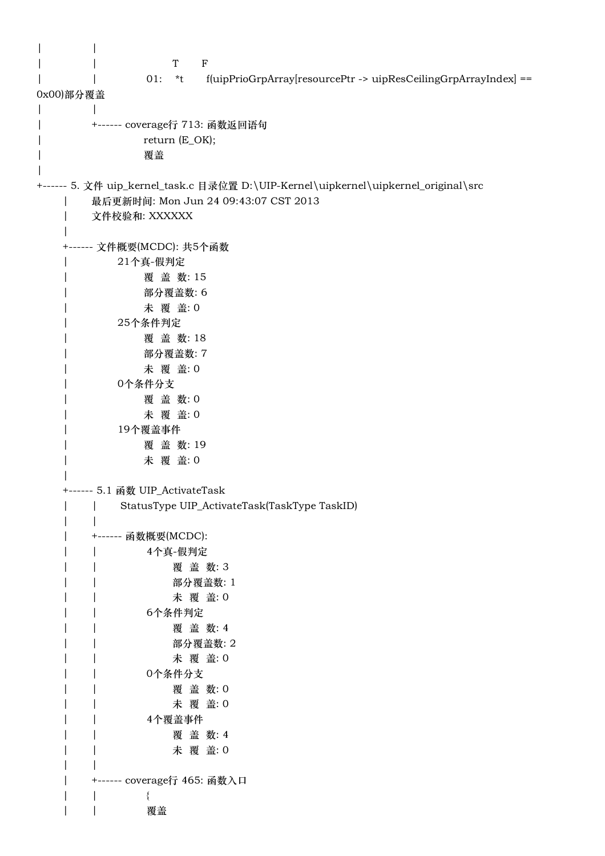| $\mathbf T$<br>$\mathbf F$                                                          |
|-------------------------------------------------------------------------------------|
| f(uipPrioGrpArray[resourcePtr -> uipResCeilingGrpArrayIndex] ==<br>$01:$ *t         |
| 0x00)部分覆盖                                                                           |
| +------ coverage行 713: 函数返回语句                                                       |
| return (E_OK);                                                                      |
| 覆盖                                                                                  |
|                                                                                     |
| +------ 5. 文件 uip_kernel_task.c 目录位置 D:\UIP-Kernel\uipkernel\uipkernel_original\src |
| 最后更新时间: Mon Jun 24 09:43:07 CST 2013                                                |
| 文件校验和: XXXXXX                                                                       |
| +------ 文件概要(MCDC): 共5个函数                                                           |
| 21个真-假判定                                                                            |
| 覆盖数:15                                                                              |
| 部分覆盖数:6                                                                             |
| 未 覆 盖: 0                                                                            |
| 25个条件判定                                                                             |
| 覆盖数:18                                                                              |
| 部分覆盖数: 7                                                                            |
| 未 覆 盖: 0                                                                            |
| 0个条件分支<br>覆盖 数:0                                                                    |
| 未 覆 盖: 0                                                                            |
| 19个覆盖事件                                                                             |
| 覆盖数:19                                                                              |
| 未 覆 盖: 0                                                                            |
|                                                                                     |
| +------ 5.1 函数 UIP_ActivateTask                                                     |
| StatusType UIP_ActivateTask(TaskType TaskID)                                        |
| +------ 函数概要(MCDC):                                                                 |
| 4个真-假判定                                                                             |
| 覆盖数:3                                                                               |
| 部分覆盖数: 1                                                                            |
| 未 覆 盖: 0                                                                            |
| 6个条件判定                                                                              |
| 覆盖数: 4                                                                              |
| 部分覆盖数: 2<br>未 覆 盖: 0                                                                |
| 0个条件分支                                                                              |
| 覆盖数:0                                                                               |
| 未 覆 盖: 0                                                                            |
| 4个覆盖事件                                                                              |
| 覆盖数: 4                                                                              |
| 未 覆 盖: 0                                                                            |
|                                                                                     |
| ------ coverage行 465: 函数入口                                                          |
| 覆盖                                                                                  |
|                                                                                     |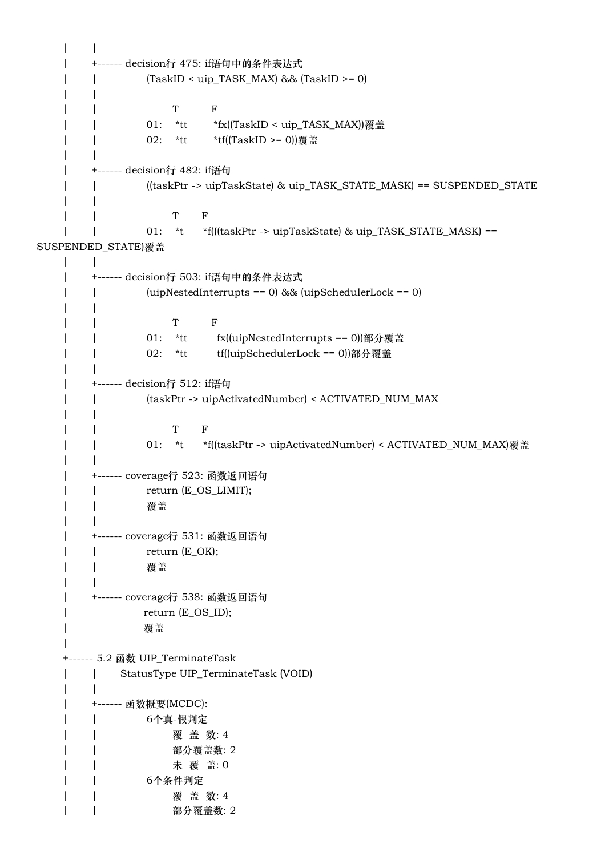```
| \cdot | | +------ decision行 475: if语句中的条件表达式
    | | (TaskID < uip_TASK_MAX) && (TaskID >= 0)
   | \cdot | | | T F
   | | 01: *tt *fx((TaskID < uip_TASK_MAX))覆盖
   | | 02: *tt *tf((TaskID >= 0))覆盖
 | |
    | +------ decision行 482: if语句
    | | ((taskPtr -> uipTaskState) & uip_TASK_STATE_MASK) == SUSPENDED_STATE
   | \cdot | | | T F
    | | 01: *t *f(((taskPtr -> uipTaskState) & uip_TASK_STATE_MASK) ==
SUSPENDED_STATE)覆盖
   | \cdot | | +------ decision行 503: if语句中的条件表达式
    | | (uipNestedInterrupts == 0) && (uipSchedulerLock == 0)
   | \cdot | | | T F
    | | 01: *tt fx((uipNestedInterrupts == 0))部分覆盖
   | | 02: *tt tf((uipSchedulerLock == 0))部分覆盖
 | |
    | +------ decision行 512: if语句
    | | (taskPtr -> uipActivatedNumber) < ACTIVATED_NUM_MAX
   | \cdot | | | T F
    | | 01: *t *f((taskPtr -> uipActivatedNumber) < ACTIVATED_NUM_MAX)覆盖
 | |
    | +------ coverage行 523: 函数返回语句
    | | return (E_OS_LIMIT);
    | | 覆盖
   | \cdot | | +------ coverage行 531: 函数返回语句
    | | return (E_OK);
    | | 覆盖
   | \cdot | | +------ coverage行 538: 函数返回语句
    | return (E_OS_ID);
    | 覆盖
    |
    +------ 5.2 函数 UIP_TerminateTask
   | | StatusType UIP TerminateTask (VOID)
   | \cdot | | +------ 函数概要(MCDC):
    | | 6个真-假判定
   | | | 覆 盖 数: 4
    | | 部分覆盖数: 2
    | | 未 覆 盖: 0
    | | 6个条件判定
   | | 离 蓋 数: 4
    | | 部分覆盖数: 2
```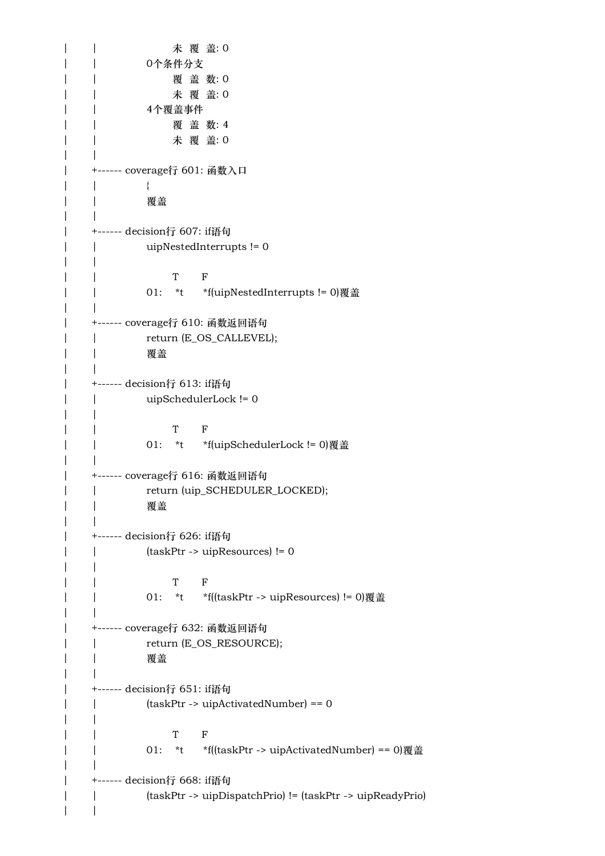| | 本覆 盖: 0 | | 0个条件分支 | | 覆 盖 数: 0 | | 未 覆 盖: 0 | | 4个覆盖事件 | | | 覆 盖 数: 4 | | 未 覆 盖: 0  $| \cdot |$  | +------ coverage行 601: 函数入口 | | { | | 覆盖  $| \cdot |$  | +------ decision行 607: if语句 | | uipNestedInterrupts != 0  $| \cdot |$  | | T F | | 01: \*t \*f(uipNestedInterrupts != 0)覆盖  $| \cdot |$  | +------ coverage行 610: 函数返回语句 | | return (E\_OS\_CALLEVEL); | | 覆盖  $| \cdot |$  | +------ decision行 613: if语句 | | uipSchedulerLock != 0  $\| \cdot \|$  | | T F | | 01: \*t \*f(uipSchedulerLock != 0)覆盖  $| \cdot |$  | +------ coverage行 616: 函数返回语句 | | return (uip\_SCHEDULER\_LOCKED); | | 覆盖  $\| \cdot \|$  | +------ decision行 626: if语句 | | (taskPtr -> uipResources) != 0  $| \cdot |$  | | T F | | 01: \*t \*f((taskPtr -> uipResources) != 0)覆盖  $\| \cdot \|$  | +------ coverage行 632: 函数返回语句 | | return (E\_OS\_RESOURCE); | | 覆盖  $| \cdot |$  | +------ decision行 651: if语句 | | (taskPtr -> uipActivatedNumber) == 0 | | | | T F | | 01: \*t \*f((taskPtr -> uipActivatedNumber) == 0)覆盖  $| \cdot |$  | +------ decision行 668: if语句 | | (taskPtr -> uipDispatchPrio) != (taskPtr -> uipReadyPrio)  $| \cdot |$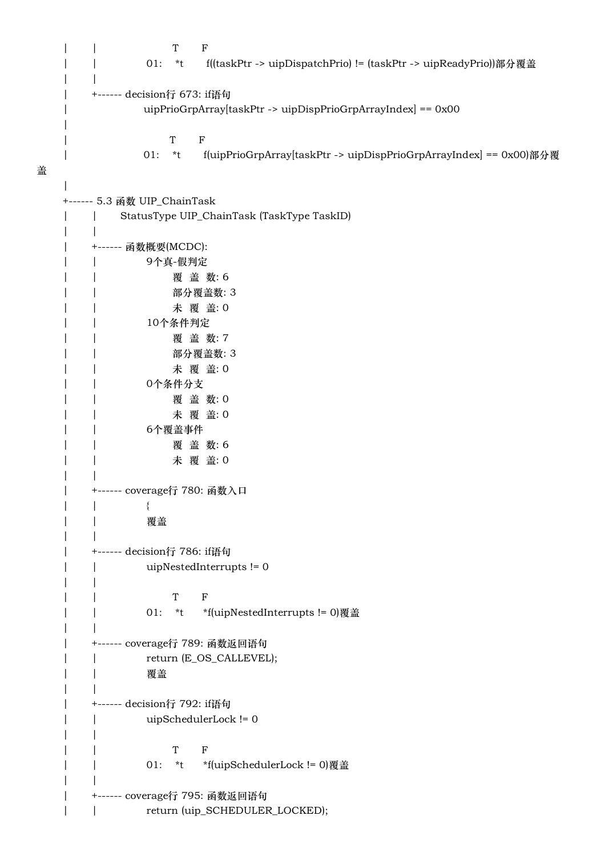```
 | | T F
   | | 01: *t f((taskPtr -> uipDispatchPrio) != (taskPtr -> uipReadyPrio))部分覆盖
   | \cdot | | +------ decision行 673: if语句
    | uipPrioGrpArray[taskPtr -> uipDispPrioGrpArrayIndex] == 0x00
    | 
 | T F
    | 01: *t f(uipPrioGrpArray[taskPtr -> uipDispPrioGrpArrayIndex] == 0x00)部分覆
盖
    |
    +------ 5.3 函数 UIP_ChainTask
    | | StatusType UIP_ChainTask (TaskType TaskID)
   | \cdot | | +------ 函数概要(MCDC):
    | | 9个真-假判定
   | | | 覆 盖 数: 6
    | | 部分覆盖数: 3
    | | 未 覆 盖: 0
    | | 10个条件判定
   | | | 覆 盖 数: 7
    | | 部分覆盖数: 3
   | | 本覆 盖: 0
    | | 0个条件分支
    | | 覆 盖 数: 0
   | | 本覆 盖: 0
    | | 6个覆盖事件
   | | | 覆 盖 数: 6
   | | 本覆 盖: 0
 | |
    | +------ coverage行 780: 函数入口
 | | {
    | | 覆盖
   \| \cdot \| | +------ decision行 786: if语句
    | | uipNestedInterrupts != 0
   | \cdot | | | T F
    | | 01: *t *f(uipNestedInterrupts != 0)覆盖
 | |
    | +------ coverage行 789: 函数返回语句
   | | return (E_OS_CALLEVEL);
    | | 覆盖
 | |
    | +------ decision行 792: if语句
    | | uipSchedulerLock != 0
   | \cdot | | | T F
    | | 01: *t *f(uipSchedulerLock != 0)覆盖
 | |
    | +------ coverage行 795: 函数返回语句
   | | return (uip SCHEDULER LOCKED);
```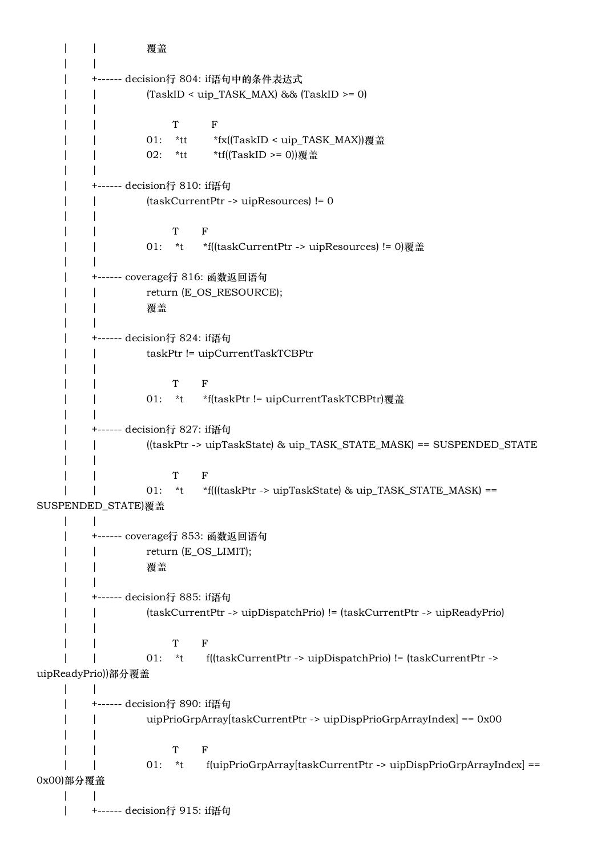| | 覆盖 | | | +------ decision行 804: if语句中的条件表达式 | | (TaskID < uip\_TASK\_MAX) && (TaskID >= 0)  $| \cdot |$  | | T F | | 01: \*tt \*fx((TaskID < uip\_TASK\_MAX))覆盖 | | 02: \*tt \*tf((TaskID >= 0))覆盖 | | | +------ decision行 810: if语句 | | (taskCurrentPtr -> uipResources) != 0  $| \cdot |$  | | T F | | 01: \*t \*f((taskCurrentPtr -> uipResources) != 0)覆盖 | | | +------ coverage行 816: 函数返回语句 | | return (E\_OS\_RESOURCE); | | 覆盖  $| \cdot |$  | +------ decision行 824: if语句 | | taskPtr != uipCurrentTaskTCBPtr  $| \cdot |$  | | T F | | 01: \*t \*f(taskPtr != uipCurrentTaskTCBPtr)覆盖 | | | +------ decision行 827: if语句 | | ((taskPtr -> uipTaskState) & uip\_TASK\_STATE\_MASK) == SUSPENDED\_STATE  $| \cdot |$  | | T F | | 01: \*t \*f(((taskPtr -> uipTaskState) & uip\_TASK\_STATE\_MASK) == SUSPENDED\_STATE)覆盖  $| \cdot |$  | +------ coverage行 853: 函数返回语句 | | return (E\_OS\_LIMIT); | | 覆盖  $| \cdot |$  | +------ decision行 885: if语句 | | (taskCurrentPtr -> uipDispatchPrio) != (taskCurrentPtr -> uipReadyPrio)  $| \cdot |$  | | T F | | 01: \*t f((taskCurrentPtr -> uipDispatchPrio) != (taskCurrentPtr -> uipReadyPrio))部分覆盖  $| \cdot |$  | +------ decision行 890: if语句 | | uipPrioGrpArray[taskCurrentPtr -> uipDispPrioGrpArrayIndex] == 0x00  $| \cdot |$  | | T F | | 01: \*t f(uipPrioGrpArray[taskCurrentPtr -> uipDispPrioGrpArrayIndex] == 0x00)部分覆盖 | | | +------ decision行 915: if语句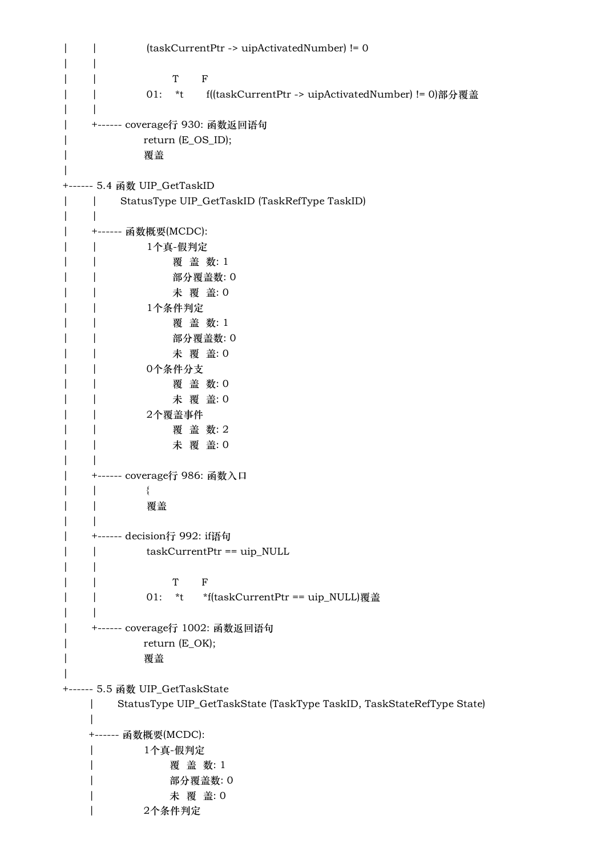| | (taskCurrentPtr -> uipActivatedNumber) != 0  $| \cdot |$  | | T F | | 01: \*t f((taskCurrentPtr -> uipActivatedNumber) != 0)部分覆盖  $| \cdot |$  | +------ coverage行 930: 函数返回语句 | return (E\_OS\_ID); | 覆盖 | +------ 5.4 函数 UIP\_GetTaskID | | StatusType UIP\_GetTaskID (TaskRefType TaskID)  $| \cdot |$  | +------ 函数概要(MCDC): | | 1个真-假判定 | | | 覆盖数: 1 | | 部分覆盖数: 0 | | 未 覆 盖: 0 | | 1个条件判定 | | | 覆盖数:1 | | 部分覆盖数: 0 | | 未 覆 盖: 0 | | 0个条件分支 | | 覆 盖 数: 0 | | 未 覆 盖: 0 | | 2个覆盖事件 | | 覆 盖 数: 2 | | 未 覆 盖: 0  $| \cdot |$  | +------ coverage行 986: 函数入口 | | { | | 覆盖  $| \cdot |$  | +------ decision行 992: if语句 | | taskCurrentPtr == uip\_NULL  $| \cdot |$  | | T F | | 01: \*t \*f(taskCurrentPtr == uip\_NULL)覆盖 | | | +------ coverage行 1002: 函数返回语句 | return (E\_OK); | 覆盖 | +------ 5.5 函数 UIP\_GetTaskState | StatusType UIP\_GetTaskState (TaskType TaskID, TaskStateRefType State) | +------ 函数概要(MCDC): | 1个真-假判定 | 覆 盖 数: 1 | 部分覆盖数: 0 | 未 覆 盖: 0 | 2个条件判定